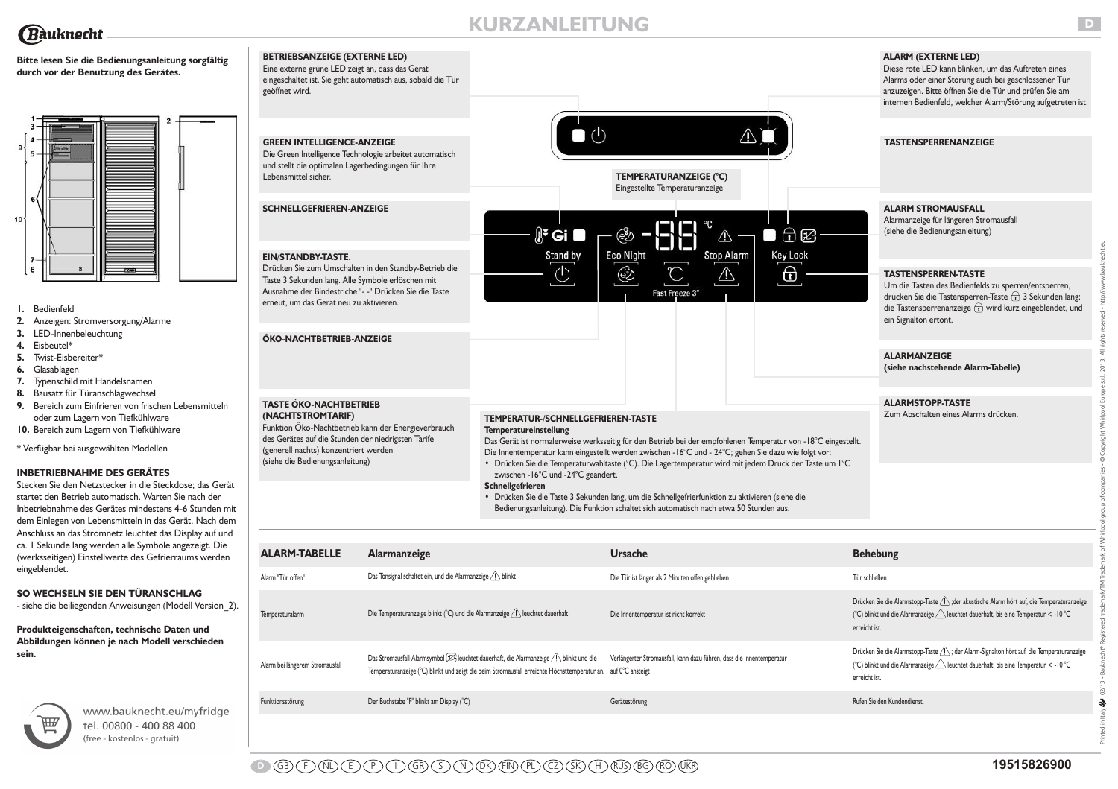# **KURZANLEITUNG**

 $\bullet$ 

ඐ

**Eco Night** 

෯

# **Bitte lesen Sie die Bedienungsanleitung sorgfältig durch vor der Benutzung des Gerätes.**



- **1.** Bedienfeld
- **2.** Anzeigen: Stromversorgung/Alarme
- **3.** LED-Innenbeleuchtung
- **4.** Eisbeutel\*

Bauknecht

- **5.** Twist-Eisbereiter\*
- **6.** Glasablagen
- **7.** Typenschild mit Handelsnamen
- **8.** Bausatz für Türanschlagwechsel
- **9.** Bereich zum Einfrieren von frischen Lebensmitteln oder zum Lagern von Tiefkühlware
- **10.** Bereich zum Lagern von Tiefkühlware
- \* Verfügbar bei ausgewählten Modellen

### **INBETRIEBNAHME DES GERÄTES**

Stecken Sie den Netzstecker in die Steckdose; das Gerät startet den Betrieb automatisch. Warten Sie nach der Inbetriebnahme des Gerätes mindestens 4-6 Stunden mit dem Einlegen von Lebensmitteln in das Gerät. Nach dem Anschluss an das Stromnetz leuchtet das Display auf und ca. 1 Sekunde lang werden alle Symbole angezeigt. Die (werksseitigen) Einstellwerte des Gefrierraums werden eingeblendet.

# **SO WECHSELN SIE DEN TÜRANSCHLAG**

- siehe die beiliegenden Anweisungen (Modell Version 2).

**Produkteigenschaften, technische Daten und Abbildungen können je nach Modell verschieden sein.**



www.bauknecht.eu/myfridge tel. 00800 - 400 88 400 (free - kostenlos - gratuit)

| <b>BETRIEBSANZEIGE (EXTERNE LED)</b>                        |  |
|-------------------------------------------------------------|--|
| Eine externe grüne LED zeigt an, dass das Gerät             |  |
| eingeschaltet ist. Sie geht automatisch aus, sobald die Tür |  |
| geöffnet wird.                                              |  |
|                                                             |  |

# **GREEN INTELLIGENCE-ANZEIGE**

Die Green Intelligence Technologie arbeitet automatisch und stellt die optimalen Lagerbedingungen für Ihre Lebensmittel sicher.

**SCHNELLGEFRIEREN-ANZEIGE**

# **EIN/STANDBY-TASTE.**

**(NA**<br>Funl

 $(gen$ (sieh

Drücken Sie zum Umschalten in den Standby-Betrieb die Taste 3 Sekunden lang. Alle Symbole erlöschen mit Ausnahme der Bindestriche "- -" Drücken Sie die Taste erneut, um das Gerät neu zu aktivieren.

| ÖKO-NACHTBETRIEB-ANZEIGE                                                                                                                                                                                                                    |                                                                                                                                                                                                                                                                                                                                                                                                                                               |  |  |
|---------------------------------------------------------------------------------------------------------------------------------------------------------------------------------------------------------------------------------------------|-----------------------------------------------------------------------------------------------------------------------------------------------------------------------------------------------------------------------------------------------------------------------------------------------------------------------------------------------------------------------------------------------------------------------------------------------|--|--|
| <b>TASTE ÖKO-NACHTBETRIEB</b><br>(NACHTSTROMTARIF)<br>Funktion Öko-Nachtbetrieb kann der Energieverbrauch<br>des Gerätes auf die Stunden der niedrigsten Tarife<br>(generell nachts) konzentriert werden<br>(siehe die Bedienungsanleitung) | TEMPERATUR-/SCHNELLGEFRIEREN-TASTE<br><b>Temperatureinstellung</b><br>Das Gerät ist normalerweise werksseitig für den Betrieb bei der empfohlenen Temperatur von - I8°C eingestellt.<br>Die Innentemperatur kann eingestellt werden zwischen - 16°C und - 24°C; gehen Sie dazu wie folgt vor:<br>• Drücken Sie die Temperaturwahltaste (°C). Die Lagertemperatur wird mit jedem Druck der Taste um 1°C<br>zwischen - 16°C und -24°C geändert. |  |  |

 $\mathbb{R}^2$  Gi

Stand by

 $\circlearrowleft$ 

**Schnellgefrieren**

**•** Drücken Sie die Taste 3 Sekunden lang, um die Schnellgefrierfunktion zu aktivieren (siehe die Bedienungsanleitung). Die Funktion schaltet sich automatisch nach etwa 50 Stunden aus.

**TEMPERATURANZEIGE (°C)** Eingestellte Temperaturanzeige

Fast Freeze 3'

 $\wedge$ 

**Stop Alarm** 

⚠

分网

**Key Lock** 

 $\Theta$ 

Ī,

| ALARM-TABELLE                   | <b>Alarmanzeige</b>                                                                                                                                                                                                       | <b>Ursache</b>                                                        | <b>Behebung</b>                                                                                                                                                                                  |
|---------------------------------|---------------------------------------------------------------------------------------------------------------------------------------------------------------------------------------------------------------------------|-----------------------------------------------------------------------|--------------------------------------------------------------------------------------------------------------------------------------------------------------------------------------------------|
| Alarm "Tür offen"               | Das Tonsignal schaltet ein, und die Alarmanzeige / blinkt                                                                                                                                                                 | Die Tür ist länger als 2 Minuten offen geblieben                      | Tür schließen                                                                                                                                                                                    |
| Temperaturalarm                 | Die Temperaturanzeige blinkt (°C) und die Alarmanzeige $\langle \cdot   \cdot \rangle$ leuchtet dauerhaft                                                                                                                 | Die Innentemperatur ist nicht korrekt                                 | Drücken Sie die Alarmstopp-Taste A; der akustische Alarm hört auf, die Temperaturanzeige<br>(°C) blinkt und die Alarmanzeige / seuchtet dauerhaft, bis eine Temperatur < -10 °C<br>erreicht ist. |
| Alarm bei längerem Stromausfall | Das Stromausfall-Alarmsymbol $\mathcal{D}$ leuchtet dauerhaft, die Alarmanzeige $\bigcap$ blinkt und die<br>Temperaturanzeige (°C) blinkt und zeigt die beim Stromausfall erreichte Höchsttemperatur an. auf 0°C ansteigt | Verlängerter Stromausfall, kann dazu führen, dass die Innentemperatur | Drücken Sie die Alarmstopp-Taste A; der Alarm-Signalton hört auf, die Temperaturanzeige<br>(°C) blinkt und die Alarmanzeige A leuchtet dauerhaft, bis eine Temperatur < -10 °C<br>erreicht ist.  |
| Funktionsstörung                | Der Buchstabe "F" blinkt am Display (°C)                                                                                                                                                                                  | Gerätestörung                                                         | Rufen Sie den Kundendienst.                                                                                                                                                                      |

# **ALARM (EXTERNE LED)**

Diese rote LED kann blinken, um das Auftreten eines Alarms oder einer Störung auch bei geschlossener Tür anzuzeigen. Bitte öffnen Sie die Tür und prüfen Sie am internen Bedienfeld, welcher Alarm/Störung aufgetreten ist.

## **TASTENSPERRENANZEIGE**

### **ALARM STROMAUSFALL** Alarmanzeige für längeren Stromausfall

(siehe die Bedienungsanleitung)

# **TASTENSPERREN-TASTE**

Um die Tasten des Bedienfelds zu sperren/entsperren, drücken Sie die Tastensperren-Taste  $\overrightarrow{1}$  3 Sekunden lang: die Tastensperrenanzeige  $\widehat{\mathbf{u}}$  wird kurz eingeblendet, und ein Signalton ertönt.

# **ALARMANZEIGE**

**(siehe nachstehende Alarm-Tabelle)**

# **ALARMSTOPP-TASTE**

Zum Abschalten eines Alarms drücken.

Printed in Italy 02/13 - Bauknecht® Registered trademark/TM Trademark of Whirlpool group of companies - © Copyright Whirlpool Europe s.r.l. 2013. All rights reserved - http://www.bauknecht.eu

 $2/13 \hat{\mathcal{F}}$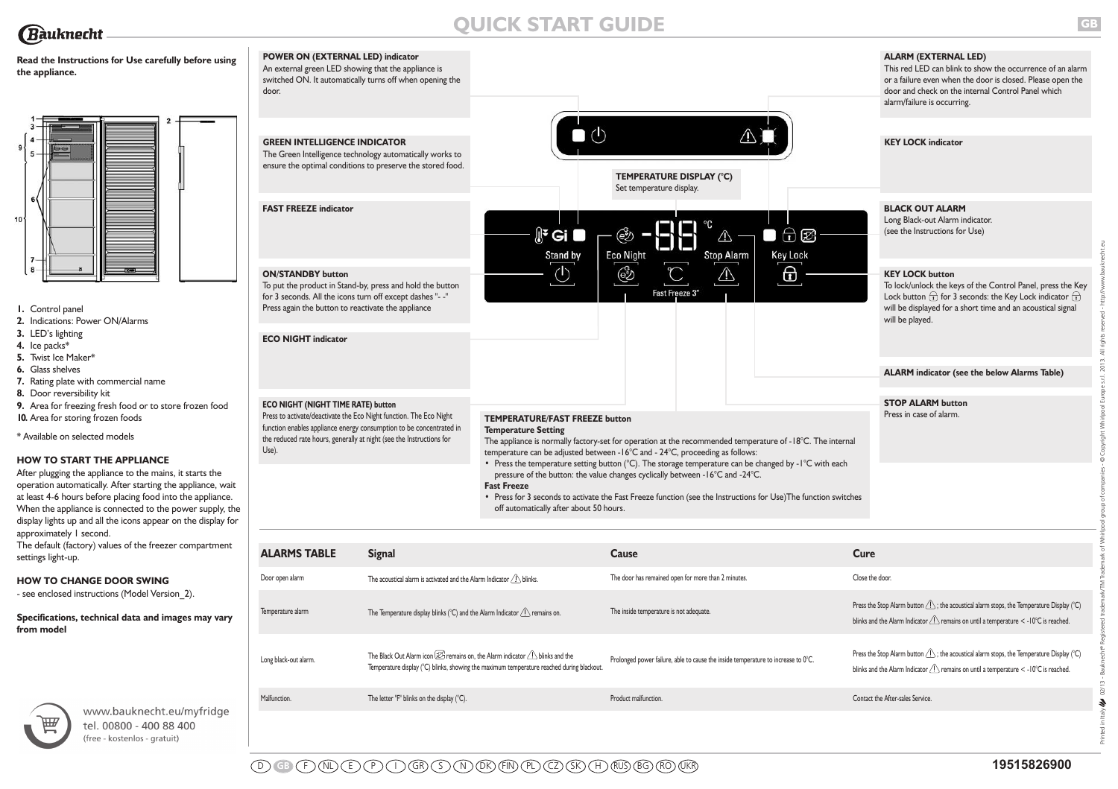# **QUICK START GUIDE**



 $10$ 

(free - kostenlos - gratuit)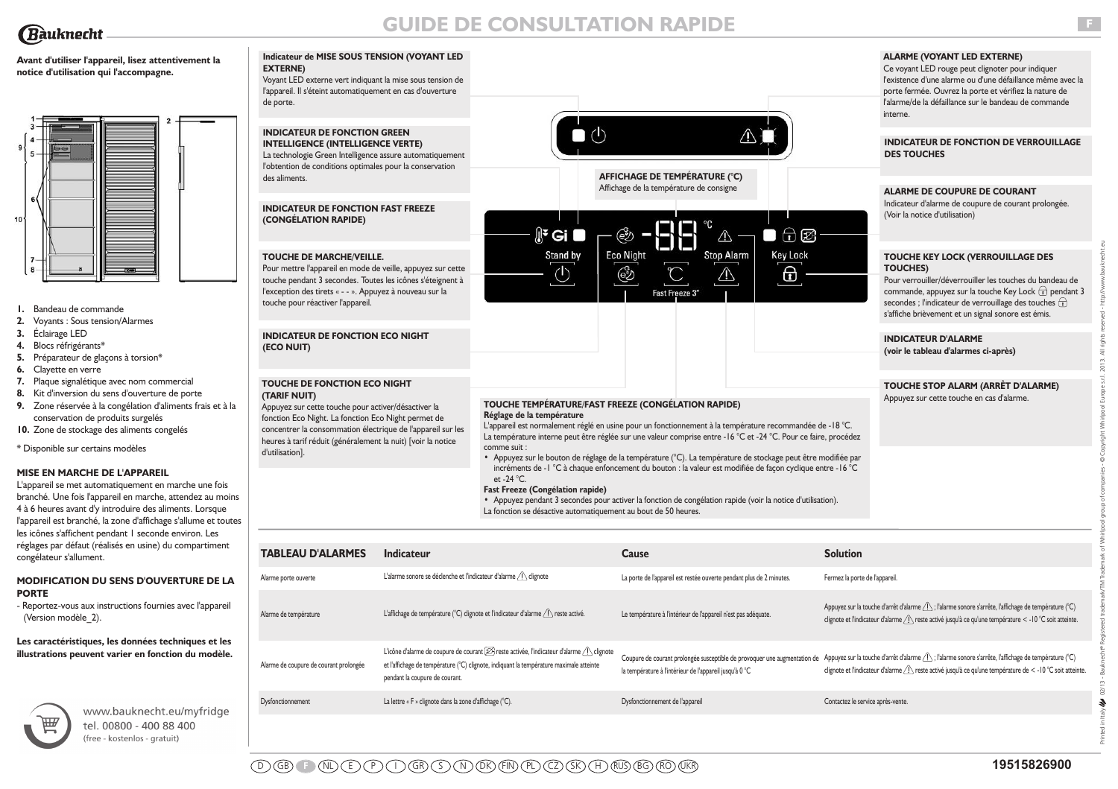# **GUIDE DE CONSULTATION RAPIDE**

# **Avant d'utiliser l'appareil, lisez attentivement la notice d'utilisation qui l'accompagne.**



- **1.** Bandeau de commande
- **2.** Voyants : Sous tension/Alarmes
- **3.** Éclairage LED
- **4.** Blocs réfrigérants\*
- **5.** Préparateur de glaçons à torsion\*
- **6.** Clayette en verre
- **7.** Plaque signalétique avec nom commercial
- **8.** Kit d'inversion du sens d'ouverture de porte
- **9.** Zone réservée à la congélation d'aliments frais et à la conservation de produits surgelés
- **10.** Zone de stockage des aliments congelés

\* Disponible sur certains modèles

# **MISE EN MARCHE DE L'APPAREIL**

L'appareil se met automatiquement en marche une fois branché. Une fois l'appareil en marche, attendez au moins 4 à 6 heures avant d'y introduire des aliments. Lorsque l'appareil est branché, la zone d'affichage s'allume et toutes les icônes s'affichent pendant I seconde environ. Les réglages par défaut (réalisés en usine) du compartiment congélateur s'allument.

# **MODIFICATION DU SENS D'OUVERTURE DE LA PORTE**

- Reportez-vous aux instructions fournies avec l'appareil (Version modèle\_2).

**Les caractéristiques, les données techniques et les illustrations peuvent varier en fonction du modèle.**



www.bauknecht.eu/myfridge tel. 00800 - 400 88 400 (free - kostenlos - gratuit)

### **Indicateur de MISE SOUS TENSION (VOYANT LED EXTERNE)**

Voyant LED externe vert indiquant la mise sous tension de l'appareil. Il s'éteint automatiquement en cas d'ouverture de porte.

# **INDICATEUR DE FONCTION GREEN INTELLIGENCE (INTELLIGENCE VERTE)**

La technologie Green Intelligence assure automatiquement l'obtention de conditions optimales pour la conservation des aliments.

### **INDICATEUR DE FONCTION FAST FREEZE (CONGÉLATION RAPIDE)**

# **TOUCHE DE MARCHE/VEILLE.**

Pour mettre l'appareil en mode de veille, appuyez sur cette touche pendant 3 secondes. Toutes les icônes s'éteignent à l'exception des tirets « - - ». Appuyez à nouveau sur la touche pour réactiver l'appareil.

# **INDICATEUR DE FONCTION ECO NIGHT (ECO NUIT)**

#### **TOUCHE DE FONCTION ECO NIGHT (TARIF NUIT)**

Appuyez sur cette touche pour activer/désactiver la fonction Eco Night. La fonction Eco Night permet de concentrer la consommation électrique de l'appareil sur les heures à tarif réduit (généralement la nuit) [voir la notice d'utilisation].



**AFFICHAGE DE TEMPÉRATURE (°C)** Affichage de la température de consigne



# **ALARME (VOYANT LED EXTERNE)**

Ce voyant LED rouge peut clignoter pour indiquer l'existence d'une alarme ou d'une défaillance même avec la porte fermée. Ouvrez la porte et vérifiez la nature de l'alarme/de la défaillance sur le bandeau de commande interne.

**INDICATEUR DE FONCTION DE VERROUILLAGE DES TOUCHES**

# **TOUCHE KEY LOCK (VERROUILLAGE DES TOUCHES)** Pour verrouiller/déverrouiller les touches du bandeau de commande, appuyez sur la touche Key Lock  $\widehat{\mathbb{F}}$  pendant 3 secondes ; l'indicateur de verrouillage des touches  $\overrightarrow{r}$ s'affiche brièvement et un signal sonore est émis. **ALARME DE COUPURE DE COURANT** Indicateur d'alarme de coupure de courant prolongée. (Voir la notice d'utilisation)

**INDICATEUR D'ALARME (voir le tableau d'alarmes ci-après)**

# **TOUCHE STOP ALARM (ARRÊT D'ALARME)**

Appuyez sur cette touche en cas d'alarme.

#### **TOUCHE TEMPÉRATURE/FAST FREEZE (CONGÉLATION RAPIDE) Réglage de la température**

L'appareil est normalement réglé en usine pour un fonctionnement à la température recommandée de -18 °C. La température interne peut être réglée sur une valeur comprise entre -16 °C et -24 °C. Pour ce faire, procédez comme suit :

**•** Appuyez sur le bouton de réglage de la température (°C). La température de stockage peut être modifiée par incréments de -1 °C à chaque enfoncement du bouton : la valeur est modifiée de façon cyclique entre -16 °C et -24 °C.

# **Fast Freeze (Congélation rapide)**

**•** Appuyez pendant 3 secondes pour activer la fonction de congélation rapide (voir la notice d'utilisation). La fonction se désactive automatiquement au bout de 50 heures.

| <b>TABLEAU D'ALARMES</b>               | <b>Indicateur</b>                                                                                                                                                                                                                              | Cause                                                                | <b>Solution</b>                                                                                                                                                                                                                                                                                      |
|----------------------------------------|------------------------------------------------------------------------------------------------------------------------------------------------------------------------------------------------------------------------------------------------|----------------------------------------------------------------------|------------------------------------------------------------------------------------------------------------------------------------------------------------------------------------------------------------------------------------------------------------------------------------------------------|
| Alarme porte ouverte                   | L'alarme sonore se déclenche et l'indicateur d'alarme / \ clignote                                                                                                                                                                             | La porte de l'appareil est restée ouverte pendant plus de 2 minutes. | Fermez la porte de l'appareil.                                                                                                                                                                                                                                                                       |
| Alarme de température                  | L'affichage de température (°C) clignote et l'indicateur d'alarme $\langle \cdot \rangle$ reste activé.                                                                                                                                        | Le température à l'intérieur de l'appareil n'est pas adéquate.       | Appuyez sur la touche d'arrêt d'alarme $\langle \cdot   \cdot \rangle$ ; l'alarme sonore s'arrête, l'affichage de température (°C)<br>clignote et l'indicateur d'alarme $\sqrt{1}$ reste activé jusqu'à ce qu'une température < -10 °C soit atteinte.                                                |
| Alarme de coupure de courant prolongée | L'icône d'alarme de coupure de courant $\boxtimes$ reste activée, l'indicateur d'alarme $\bigtriangleup$ clignote<br>et l'affichage de température (°C) clignote, indiquant la température maximale atteinte<br>pendant la coupure de courant. | la température à l'intérieur de l'appareil jusqu'à 0 °C              | Coupure de courant prolongée susceptible de provoquer une augmentation de Appuyez sur la touche d'arrêt d'alarme 1 ; l'alarme sonore s'arrête, l'affichage de température (°C)<br>clignote et l'indicateur d'alarme $\sqrt{!}$ reste activé jusqu'à ce qu'une température de < -10 °C soit atteinte. |
| Dysfonctionnement                      | La lettre « F » clignote dans la zone d'affichage (°C).                                                                                                                                                                                        | Dysfonctionnement de l'appareil                                      | Contactez le service après-vente.                                                                                                                                                                                                                                                                    |

Printed in Italy 02/13 - Bauknecht® Registered trademark/TM Trademark of Whirlpool group of companies - © Copyright Whirlpool Europe s.r.l. 2013. All rights reserved - http://www.bauknecht.eu

 $\hat{\mathcal{F}}$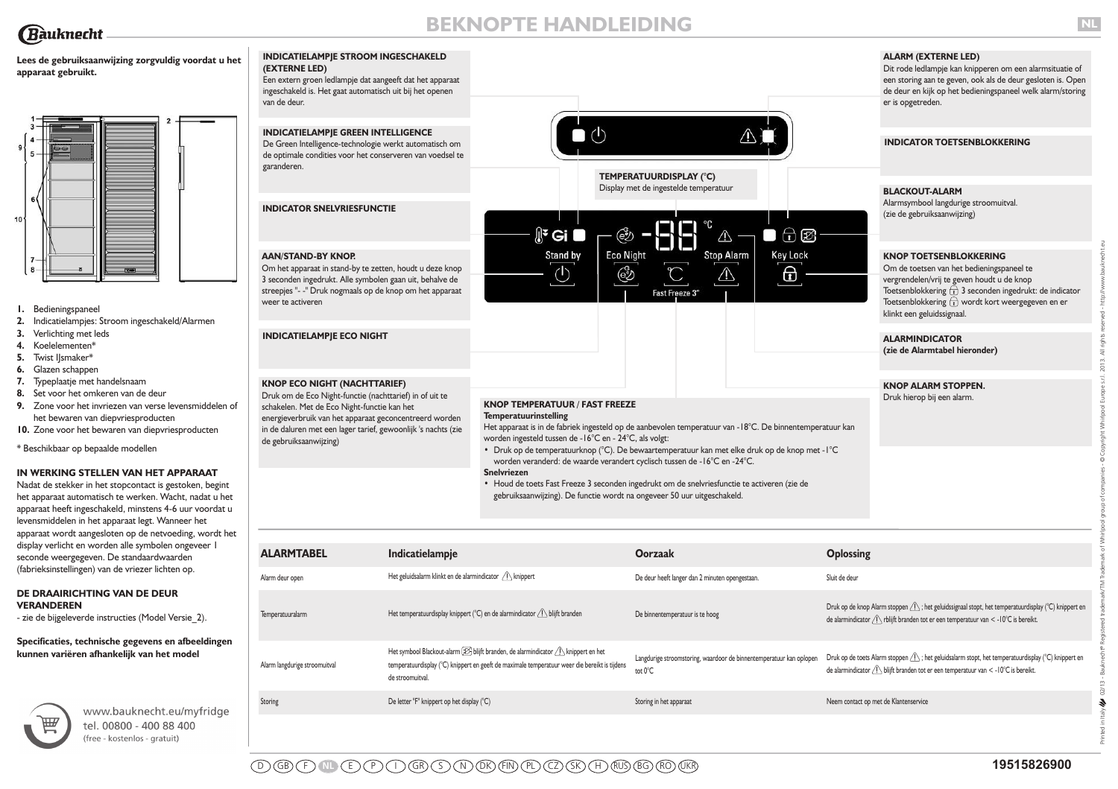

**apparaat gebruikt.**

**Lees de gebruiksaanwijzing zorgvuldig voordat u het**

 $10$ 

# **BEKNOPTE HANDLEIDING**

# **ALARM (EXTERNE LED)**

Dit rode ledlampje kan knipperen om een alarmsituatie of een storing aan te geven, ook als de deur gesloten is. Open de deur en kijk op het bedieningspaneel welk alarm/storing er is opgetreden.

Druk op de toets Alarm stoppen  $\bigwedge$ ; het geluidsalarm stopt, het temperatuurdisplay (°C) knippert en

de alarmindicator  $\bigtriangleup$  blijft branden tot er een temperatuur van < -10°C is bereikt.

# Om de toetsen van het bedieningspaneel te

|                                                                                                                                                                                                                                                                         | <b>INDICATIELAMPJE GREEN INTELLIGENCE</b><br>De Green Intelligence-technologie werkt automatisch om<br>de optimale condities voor het conserveren van voedsel te<br>garanderen.                                                                                                                    |                                                         | $\blacksquare$ $\bigcirc$                                                                                                                                                                                                                                                                                                                      | TEMPERATUURDISPLAY (°C)<br>Display met de ingestelde temperatuur |                                     | <b>INDICATOR TOETSENBLOKKERING</b><br><b>BLACKOUT-ALARM</b>                                                                                                                                                                                                                        |
|-------------------------------------------------------------------------------------------------------------------------------------------------------------------------------------------------------------------------------------------------------------------------|----------------------------------------------------------------------------------------------------------------------------------------------------------------------------------------------------------------------------------------------------------------------------------------------------|---------------------------------------------------------|------------------------------------------------------------------------------------------------------------------------------------------------------------------------------------------------------------------------------------------------------------------------------------------------------------------------------------------------|------------------------------------------------------------------|-------------------------------------|------------------------------------------------------------------------------------------------------------------------------------------------------------------------------------------------------------------------------------------------------------------------------------|
| ١O٠                                                                                                                                                                                                                                                                     | <b>INDICATOR SNELVRIESFUNCTIE</b>                                                                                                                                                                                                                                                                  |                                                         | $\mathbb{R}$ Gi $\blacksquare$<br>(ež)                                                                                                                                                                                                                                                                                                         | ⚠                                                                | $\bigoplus$ $\bigotimes$            | Alarmsymbool langdurige stroomuitval.<br>(zie de gebruiksaanwijzing)                                                                                                                                                                                                               |
| Bedieningspaneel<br>Indicatielampjes: Stroom ingeschakeld/Alarmen<br>2.                                                                                                                                                                                                 | <b>AAN/STAND-BY KNOP.</b><br>Om het apparaat in stand-by te zetten, houdt u deze knop<br>3 seconden ingedrukt. Alle symbolen gaan uit, behalve de<br>streepjes "- -" Druk nogmaals op de knop om het apparaat<br>weer te activeren                                                                 |                                                         | <b>Eco Night</b><br>Stand by<br>෯<br>U                                                                                                                                                                                                                                                                                                         | <b>Stop Alarm</b><br>⚠<br>Fast Freeze 3"                         | <b>Key Lock</b><br>$\boxed{\oplus}$ | <b>KNOP TOETSENBLOKKERING</b><br>Om de toetsen van het bedieningspaneel te<br>vergrendelen/vrij te geven houdt u de knop<br>Toetsenblokkering $\overline{t}$ 3 seconden ingedrukt: de indicator<br>Toetsenblokkering to wordt kort weergegeven en er<br>klinkt een geluidssignaal. |
| Verlichting met leds<br>3.<br>Koelelementen*<br>4.<br>Twist I smaker*<br>5.<br>Glazen schappen<br>6.                                                                                                                                                                    | <b>INDICATIELAMPJE ECO NIGHT</b>                                                                                                                                                                                                                                                                   |                                                         |                                                                                                                                                                                                                                                                                                                                                |                                                                  |                                     | <b>ALARMINDICATOR</b><br>(zie de Alarmtabel hieronder)                                                                                                                                                                                                                             |
| Typeplaatje met handelsnaam<br>8. Set voor het omkeren van de deur<br>9. Zone voor het invriezen van verse levensmiddelen of<br>het bewaren van diepvriesproducten<br>10. Zone voor het bewaren van diepvriesproducten<br>* Beschikbaar op bepaalde modellen            | <b>KNOP ECO NIGHT (NACHTTARIEF)</b><br>Druk om de Eco Night-functie (nachttarief) in of uit te<br>schakelen. Met de Eco Night-functie kan het<br>energieverbruik van het apparaat geconcentreerd worden<br>in de daluren met een lager tarief, gewoonlijk 's nachts (zie<br>de gebruiksaanwijzing) |                                                         | <b>KNOP TEMPERATUUR / FAST FREEZE</b><br><b>Temperatuurinstelling</b><br>Het apparaat is in de fabriek ingesteld op de aanbevolen temperatuur van -18°C. De binnentemperatuur kan<br>worden ingesteld tussen de -16°C en - 24°C, als volgt:<br>• Druk op de temperatuurknop (°C). De bewaartemperatuur kan met elke druk op de knop met - l °C |                                                                  |                                     | <b>KNOP ALARM STOPPEN.</b><br>Druk hierop bij een alarm.                                                                                                                                                                                                                           |
| IN WERKING STELLEN VAN HET APPARAAT<br>Nadat de stekker in het stopcontact is gestoken, begint<br>het apparaat automatisch te werken. Wacht, nadat u het<br>apparaat heeft ingeschakeld, minstens 4-6 uur voordat u<br>levensmiddelen in het apparaat legt. Wanneer het |                                                                                                                                                                                                                                                                                                    |                                                         | worden veranderd: de waarde verandert cyclisch tussen de -16°C en -24°C.<br><b>Snelvriezen</b><br>• Houd de toets Fast Freeze 3 seconden ingedrukt om de snelvriesfunctie te activeren (zie de<br>gebruiksaanwijzing). De functie wordt na ongeveer 50 uur uitgeschakeld.                                                                      |                                                                  |                                     |                                                                                                                                                                                                                                                                                    |
| apparaat wordt aangesloten op de netvoeding, wordt het<br>display verlicht en worden alle symbolen ongeveer I                                                                                                                                                           | <b>ALARMTABEL</b>                                                                                                                                                                                                                                                                                  | Indicatielampje                                         |                                                                                                                                                                                                                                                                                                                                                | <b>Oorzaak</b>                                                   | <b>Oplossing</b>                    |                                                                                                                                                                                                                                                                                    |
| seconde weergegeven. De standaardwaarden<br>(fabrieksinstellingen) van de vriezer lichten op.                                                                                                                                                                           | Alarm deur open                                                                                                                                                                                                                                                                                    | Het geluidsalarm klinkt en de alarmindicator A knippert |                                                                                                                                                                                                                                                                                                                                                | De deur heeft langer dan 2 minuten opengestaan.                  | Sluit de deur                       |                                                                                                                                                                                                                                                                                    |
| DE DRAAIRICHTING VAN DE DEUR<br><b>VERANDEREN</b><br>- zie de bijgeleverde instructies (Model Versie 2).                                                                                                                                                                | Temperatuuralarm                                                                                                                                                                                                                                                                                   |                                                         | Het temperatuurdisplay knippert (°C) en de alarmindicator $\bigcap$ blijft branden                                                                                                                                                                                                                                                             | De binnentemperatuur is te hoog                                  |                                     | Druk op de knop Alarm stoppen $\sqrt{!}$ ; het geluidssignaal stopt, het temperatuurdisplay (°C) knippert er<br>de alarmindicator $\bigwedge$ rblijft branden tot er een temperatuur van < -10°C is bereikt.                                                                       |

Langdurige stroomstoring, waardoor de binnentemperatuur kan oplopen

tot 0°C

Storing De letter "F" knippert op het display (°C) Storing in het apparaat Storing in het apparaat Neem contact op met de Klantenservice

**Specificaties, technische gegevens en afbeeldingen kunnen variëren afhankelijk van het model**



www.bauknecht.eu/myfridge tel. 00800 - 400 88 400 (free - kostenlos - gratuit)

Alarm langdurige stroomuitval

de stroomuitval.

**INDICATIELAMPJE STROOM INGESCHAKELD**

Een extern groen ledlampje dat aangeeft dat het apparaat ingeschakeld is. Het gaat automatisch uit bij het openen

**(EXTERNE LED)**

van de deur.

Het symbool Blackout-alarm  $\boxtimes$  blijft branden, de alarmindicator  $\bigwedge$  knippert en het temperatuurdisplay (°C) knippert en geeft de maximale temperatuur weer die bereikt is tijdens Printed in Italy 02/13 - Bauknecht® Registered trademark/TM Trademark of Whirlpool group of companies - © Copyright Whirlpool Europe s.r.l. 2013. All rights reserved - http://www.bauknecht.eu

 $\boldsymbol{\epsilon}$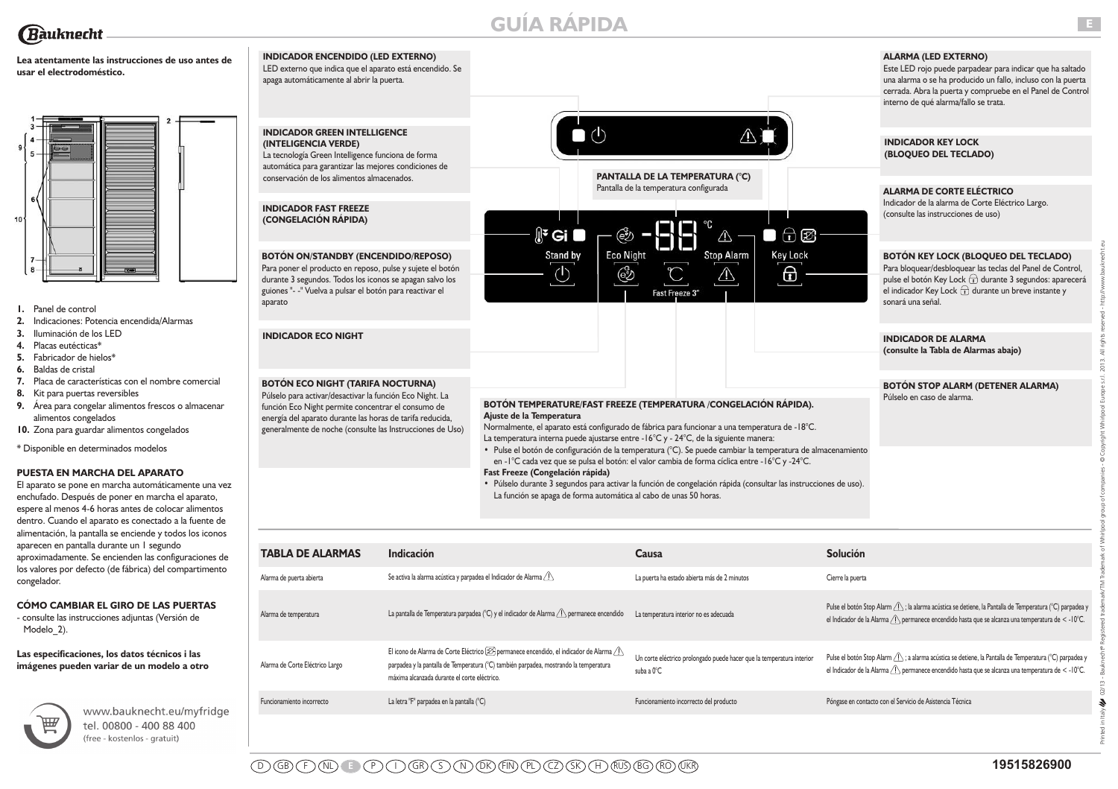

# **Lea atentamente las instrucciones de uso antes de usar el electrodoméstico.**



- **1.** Panel de control
- **2.** Indicaciones: Potencia encendida/Alarmas
- **3.** Iluminación de los LED
- **4.** Placas eutécticas\*
- **5.** Fabricador de hielos\*
- **6.** Baldas de cristal
- **7.** Placa de características con el nombre comercial
- **8.** Kit para puertas reversibles
- **9.** Área para congelar alimentos frescos o almacenar alimentos congelados
- **10.** Zona para guardar alimentos congelados
- \* Disponible en determinados modelos

### **PUESTA EN MARCHA DEL APARATO**

El aparato se pone en marcha automáticamente una vez enchufado. Después de poner en marcha el aparato, espere al menos 4-6 horas antes de colocar alimentos dentro. Cuando el aparato es conectado a la fuente de alimentación, la pantalla se enciende y todos los iconos aparecen en pantalla durante un 1 segundo aproximadamente. Se encienden las configuraciones de los valores por defecto (de fábrica) del compartimento congelador.

# **CÓMO CAMBIAR EL GIRO DE LAS PUERTAS**

- consulte las instrucciones adjuntas (Versión de Modelo 2).

### **Las especificaciones, los datos técnicos i las imágenes pueden variar de un modelo a otro**



www.bauknecht.eu/myfridge tel. 00800 - 400 88 400 (free - kostenlos - gratuit)

# **INDICADOR ENCENDIDO (LED EXTERNO)** LED externo que indica que el aparato está encendido. Se apaga automáticamente al abrir la puerta.  $\bullet$  (b) **INDICADOR GREEN INTELLIGENCE (INTELIGENCIA VERDE)** La tecnología Green Intelligence funciona de forma automática para garantizar las mejores condiciones de conservación de los alimentos almacenados. **PANTALLA DE LA TEMPERATURA (°C)** Pantalla de la temperatura configurada **INDICADOR FAST FREEZE (CONGELACIÓN RÁPIDA)**  $\mathbb{R}^2$  Gi ඐ  $\wedge$ **Eco Night** Stand by **Stop Alarm BOTÓN ON/STANDBY (ENCENDIDO/REPOSO)** Para poner el producto en reposo, pulse y sujete el botón  $\circlearrowleft$ ෯ ⚠ durante 3 segundos. Todos los iconos se apagan salvo los guiones "- -" Vuelva a pulsar el botón para reactivar el Fast Freeze 3 aparato **INDICADOR ECO NIGHT BOTÓN ECO NIGHT (TARIFA NOCTURNA)**

## **BOTÓN TEMPERATURE/FAST FREEZE (TEMPERATURA /CONGELACIÓN RÁPIDA). Ajuste de la Temperatura**  Normalmente, el aparato está configurado de fábrica para funcionar a una temperatura de -18°C.

- **•** Pulse el botón de configuración de la temperatura (°C). Se puede cambiar la temperatura de almacenamiento en -1°C cada vez que se pulsa el botón: el valor cambia de forma cíclica entre -16°C y -24°C. **Fast Freeze (Congelación rápida)**
- **•** Púlselo durante 3 segundos para activar la función de congelación rápida (consultar las instrucciones de uso). La función se apaga de forma automática al cabo de unas 50 horas.

| <b>BOTÓN ON/STANDBY (ENCENDIDO/REPOSO)</b><br>Para poner el producto en reposo, pulse y sujete el botón<br>durante 3 segundos. Todos los iconos se apagan salvo los<br>guiones "- -" Vuelva a pulsar el botón para reactivar el<br>aparato                                           |                                                                           | <b>Eco Night</b><br>Stand by<br>ණි                                                                                                                                                                                                                                                                                                                                                                                                                                                                                                                                                                                                                                                                                                    | ا ا<br><b>Stop Alarm</b><br>Fast Freeze 3"                                          | <b>Key Lock</b><br>⊕ | <b>BOTÓN KEY LOCK (BLOQUEO DEL TECLADO)</b><br>Para bloquear/desbloquear las teclas del Panel de Control,<br>pulse el botón Key Lock + durante 3 segundos: aparecerá<br>el indicador Key Lock $\bigoplus$ durante un breve instante y<br>sonará una señal. |
|--------------------------------------------------------------------------------------------------------------------------------------------------------------------------------------------------------------------------------------------------------------------------------------|---------------------------------------------------------------------------|---------------------------------------------------------------------------------------------------------------------------------------------------------------------------------------------------------------------------------------------------------------------------------------------------------------------------------------------------------------------------------------------------------------------------------------------------------------------------------------------------------------------------------------------------------------------------------------------------------------------------------------------------------------------------------------------------------------------------------------|-------------------------------------------------------------------------------------|----------------------|------------------------------------------------------------------------------------------------------------------------------------------------------------------------------------------------------------------------------------------------------------|
| <b>INDICADOR ECO NIGHT</b>                                                                                                                                                                                                                                                           |                                                                           |                                                                                                                                                                                                                                                                                                                                                                                                                                                                                                                                                                                                                                                                                                                                       |                                                                                     |                      | <b>INDICADOR DE ALARMA</b><br>(consulte la Tabla de Alarmas abajo)                                                                                                                                                                                         |
| <b>BOTÓN ECO NIGHT (TARIFA NOCTURNA)</b><br>Púlselo para activar/desactivar la función Eco Night. La<br>función Eco Night permite concentrar el consumo de<br>energía del aparato durante las horas de tarifa reducida,<br>generalmente de noche (consulte las Instrucciones de Uso) |                                                                           | BOTÓN TEMPERATURE/FAST FREEZE (TEMPERATURA /CONGELACIÓN RÁPIDA).<br>Ajuste de la Temperatura<br>Normalmente, el aparato está configurado de fábrica para funcionar a una temperatura de -18°C.<br>La temperatura interna puede ajustarse entre -16°C y - 24°C, de la siguiente manera:<br>· Pulse el botón de configuración de la temperatura (°C). Se puede cambiar la temperatura de almacenamiento<br>en - l°C cada vez que se pulsa el botón: el valor cambia de forma cíclica entre - l6°C y -24°C.<br>Fast Freeze (Congelación rápida)<br>· Púlselo durante 3 segundos para activar la función de congelación rápida (consultar las instrucciones de uso).<br>La función se apaga de forma automática al cabo de unas 50 horas. |                                                                                     |                      | <b>BOTÓN STOP ALARM (DETENER ALARMA)</b><br>Púlselo en caso de alarma.                                                                                                                                                                                     |
| <b>TABLA DE ALARMAS</b>                                                                                                                                                                                                                                                              | Indicación                                                                |                                                                                                                                                                                                                                                                                                                                                                                                                                                                                                                                                                                                                                                                                                                                       | Causa                                                                               |                      | <b>Solución</b>                                                                                                                                                                                                                                            |
| Alarma de puerta abierta                                                                                                                                                                                                                                                             | Se activa la alarma acústica y parpadea el Indicador de Alarma $\sqrt{N}$ |                                                                                                                                                                                                                                                                                                                                                                                                                                                                                                                                                                                                                                                                                                                                       | La puerta ha estado abierta más de 2 minutos                                        |                      | Cierre la puerta                                                                                                                                                                                                                                           |
| Alarma de temperatura                                                                                                                                                                                                                                                                |                                                                           | La pantalla de Temperatura parpadea (°C) y el indicador de Alarma $\langle \cdot \rangle$ permanece encendido                                                                                                                                                                                                                                                                                                                                                                                                                                                                                                                                                                                                                         | La temperatura interior no es adecuada                                              |                      | Pulse el botón Stop Alarm As ; la alarma acústica se detiene, la Pantalla de Temperatura (°C) parpadea y<br>el Indicador de la Alarma $\langle \cdot \rangle$ permanece encendido hasta que se alcanza una temperatura de < -10°C.                         |
| Alarma de Corte Eléctrico Largo                                                                                                                                                                                                                                                      | máxima alcanzada durante el corte eléctrico.                              | El icono de Alarma de Corte Eléctrico $\mathcal{D}_1$ permanece encendido, el indicador de Alarma $\land$<br>parpadea y la pantalla de Temperatura (°C) también parpadea, mostrando la temperatura                                                                                                                                                                                                                                                                                                                                                                                                                                                                                                                                    | Un corte eléctrico prolongado puede hacer que la temperatura interior<br>suba a 0°C |                      | Pulse el botón Stop Alarm As ; a alarma acústica se detiene, la Pantalla de Temperatura (°C) parpadea y<br>el Indicador de la Alarma $\langle \cdot \rangle$ permanece encendido hasta que se alcanza una temperatura de < -10°C.                          |
| Funcionamiento incorrecto                                                                                                                                                                                                                                                            | La letra "F" parpadea en la pantalla (°C)                                 |                                                                                                                                                                                                                                                                                                                                                                                                                                                                                                                                                                                                                                                                                                                                       | Funcionamiento incorrecto del producto                                              |                      | Póngase en contacto con el Servicio de Asistencia Técnica                                                                                                                                                                                                  |
|                                                                                                                                                                                                                                                                                      |                                                                           |                                                                                                                                                                                                                                                                                                                                                                                                                                                                                                                                                                                                                                                                                                                                       |                                                                                     |                      |                                                                                                                                                                                                                                                            |

# **ALARMA (LED EXTERNO)**

Este LED rojo puede parpadear para indicar que ha saltado una alarma o se ha producido un fallo, incluso con la puerta cerrada. Abra la puerta y compruebe en el Panel de Control interno de qué alarma/fallo se trata.

# **INDICADOR KEY LOCK**

 $\bigoplus$ 

٦

**(BLOQUEO DEL TECLADO)**

# **ALARMA DE CORTE ELÉCTRICO**

Indicador de la alarma de Corte Eléctrico Largo. (consulte las instrucciones de uso)

# **BOTÓN KEY LOCK (BLOQUEO DEL TECLADO)**

# **INDICADOR DE ALARMA**

# **BOTÓN STOP ALARM (DETENER ALARMA)** Púlselo en caso de alarma.

D GB F NL **E** P I GR S N DK FIN PL CZ SK H RUS BG RO UKR **19515826900**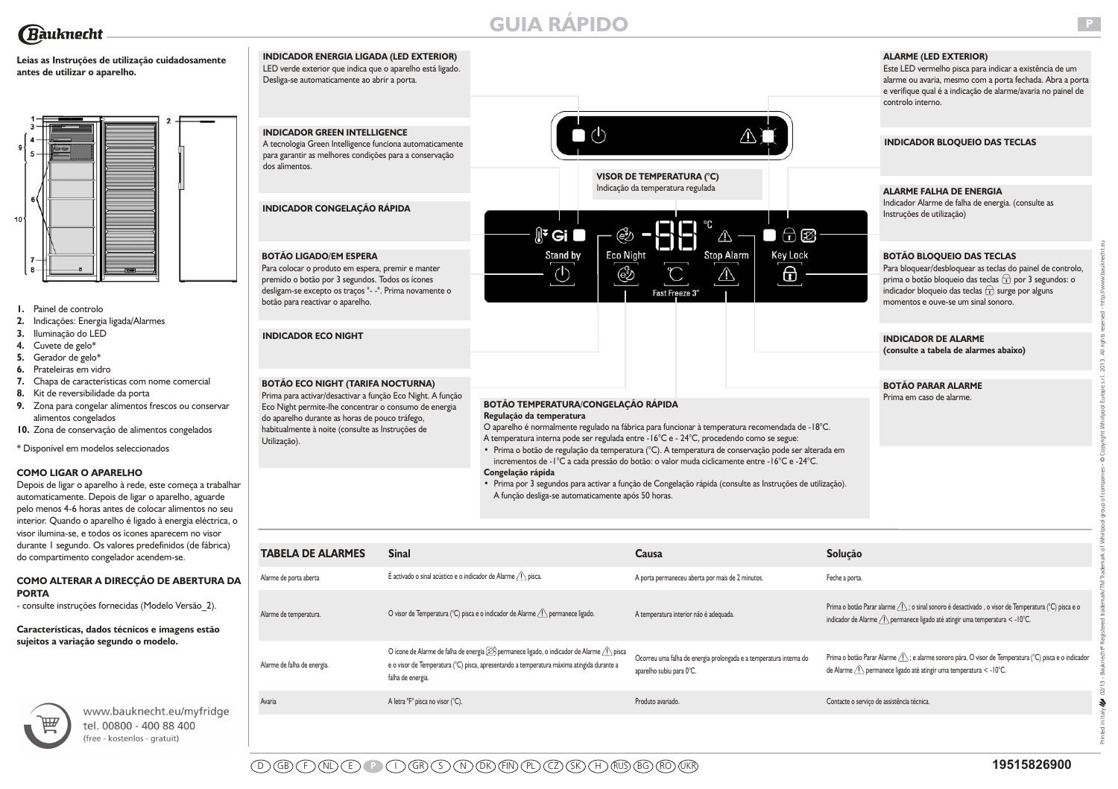# **Rauknecht**

# **Leias as Instruções de utilização cuidadosamente antes de utilizar o aparelho.**



- **1.** Painel de controlo
- **2.** Indicações: Energia ligada/Alarmes
- **3.** Iluminação do LED
- **4.** Cuvete de gelo\*
- **5.** Gerador de gelo\*
- **6.** Prateleiras em vidro
- **7.** Chapa de características com nome comercial
- **8.** Kit de reversibilidade da porta
- **9.** Zona para congelar alimentos frescos ou conservar alimentos congelados
- **10.** Zona de conservação de alimentos congelados

\* Disponível em modelos seleccionados

# **COMO LIGAR O APARELHO**

Depois de ligar o aparelho à rede, este começa a trabalhar automaticamente. Depois de ligar o aparelho, aguarde pelo menos 4-6 horas antes de colocar alimentos no seu interior. Quando o aparelho é ligado à energia eléctrica, o visor ilumina-se, e todos os ícones aparecem no visor durante 1 segundo. Os valores predefinidos (de fábrica) do compartimento congelador acendem-se.

# **COMO ALTERAR A DIRECÇÃO DE ABERTURA DA PORTA**

- consulte instruções fornecidas (Modelo Versão\_2).

**Características, dados técnicos e imagens estão sujeitos a variação segundo o modelo.** 



www.bauknecht.eu/myfridge tel. 00800 - 400 88 400 free - kostenlos - gratuit)

Alarme de falha de energia.

#### **INDICADOR ENERGIA LIGADA (LED EXTERIOR) ALARME (LED EXTERIOR)** LED verde exterior que indica que o aparelho está ligado. Desliga-se automaticamente ao abrir a porta. controlo interno.  $\bullet$  (b) **INDICADOR GREEN INTELLIGENCE** A tecnologia Green Intelligence funciona automaticamente para garantir as melhores condições para a conservação dos alimentos. **VISOR DE TEMPERATURA (°C)** Indicação da temperatura regulada **INDICADOR CONGELAÇÃO RÁPIDA** Instruções de utilização)  $\mathbb{R}^2$  Gi ඐ  $\bigcap$   $\varnothing$ ٦  $\wedge$ Key Lock Stand by **Eco Night Stop Alarm BOTÃO LIGADO/EM ESPERA** Para colocar o produto em espera, premir e manter  $\Theta$  $\circlearrowleft$ ෯ ⚠ premido o botão por 3 segundos. Todos os ícones desligam-se excepto os traços "- -". Prima novamente o Fast Freeze 3 botão para reactivar o aparelho. **INDICADOR ECO NIGHT INDICADOR DE ALARME BOTÃO ECO NIGHT (TARIFA NOCTURNA) BOTÃO PARAR ALARME** Prima para activar/desactivar a função Eco Night. A função Prima em caso de alarme. **BOTÃO TEMPERATURA/CONGELAÇÃO RÁPIDA** Eco Night permite-lhe concentrar o consumo de energia **Regulação da temperatura** do aparelho durante as horas de pouco tráfego, O aparelho é normalmente regulado na fábrica para funcionar à temperatura recomendada de -18°C. habitualmente à noite (consulte as Instruções de A temperatura interna pode ser regulada entre -16°C e - 24°C, procedendo como se segue: Utilização). **•** Prima o botão de regulação da temperatura (°C). A temperatura de conservação pode ser alterada em incrementos de -1°C a cada pressão do botão: o valor muda ciclicamente entre -16°C e -24°C. **Congelação rápida •** Prima por 3 segundos para activar a função de Congelação rápida (consulte as Instruções de utilização). A função desliga-se automaticamente após 50 horas. **TABELA DE ALARMES Sinal Causa Solução**

**GUIA RÁPIDO**

Este LED vermelho pisca para indicar a existência de um alarme ou avaria, mesmo com a porta fechada. Abra a porta e verifique qual é a indicação de alarme/avaria no painel de

# **INDICADOR BLOQUEIO DAS TECLAS**

**ALARME FALHA DE ENERGIA**

Indicador Alarme de falha de energia. (consulte as

# **BOTÃO BLOQUEIO DAS TECLAS**

Para bloquear/desbloquear as teclas do painel de controlo, prima o botão bloqueio das teclas  $\overrightarrow{\mathbf{r}}$  por 3 segundos: o indicador bloqueio das teclas  $\widehat{t}$  surge por alguns momentos e ouve-se um sinal sonoro.

**(consulte a tabela de alarmes abaixo)**

| <b>TABELA DE ALARMES</b> | <b>Sinal</b>                                                         | Causa                                            | Solução        |  |
|--------------------------|----------------------------------------------------------------------|--------------------------------------------------|----------------|--|
| Alarme de porta aberta   | É activado o sinal acústico e o indicador de Alarme $\bigcap$ pisca. | A porta permaneceu aberta por mais de 2 minutos. | Feche a porta. |  |
|                          |                                                                      |                                                  |                |  |

aparelho subiu para 0°C.

Avaria e contacte o serviço de assistência técnica. A letra "F" pisca no visor (°C). Produto avariado. Produto avariado. Produto avariado.

Ocorreu uma falha de energia prolongada e a temperatura interna do

Alarme de temperatura. Consider temperatura and consider de Temperatura and Consider de Marme Alarme Alarme Alarme Alarme Alarme Alarme Alarme Consider de Alarme Alarme Alarme and Alarme and Alarme and Alarme and Alarme an indicador de Alarme  $\widehat{\langle \cdot \rangle}$  permanece ligado até atingir uma temperatura < -10°C.

> Prima o botão Parar Alarme  $\hat{A}$ ; e alarme sonoro pára. O visor de Temperatura (°C) pisca e o indicador de Alarme *(I)* permanece ligado até atingir uma temperatura < -10°C.

Printed in Italy 02/13 - Bauknecht® Registered trademark/TM Trademark of Whirlpool group of companies - © Copyright Whirlpool Europe s.r.l. 2013. All rights reserved - http://www.bauknecht.eu

falha de energia.

O ícone de Alarme de falha de energia  $\mathcal D$  permanece ligado, o indicador de Alarme  $\mathcal D$  pisca e o visor de Temperatura (°C) pisca, apresentando a temperatura máxima atingida durante a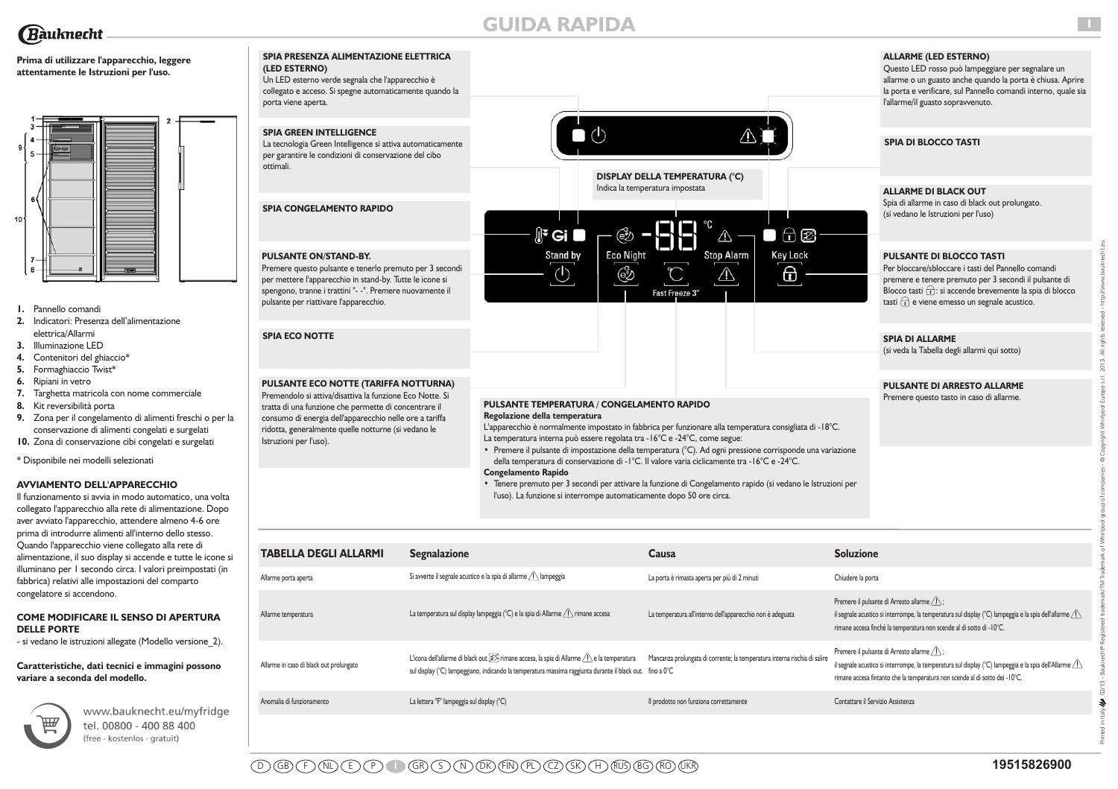

# **GUIDA RAPIDA**

 $\Box$  (b)

# **Prima di utilizzare l'apparecchio, leggere attentamente le Istruzioni per l'uso.**



- **1.** Pannello comandi
- **2.** Indicatori: Presenza dell'alimentazione elettrica/Allarmi
- **3.** Illuminazione LED
- **4.** Contenitori del ghiaccio\*
- **5.** Formaghiaccio Twist\*
- **6.** Ripiani in vetro
- **7.** Targhetta matricola con nome commerciale
- **8.** Kit reversibilità porta
- **9.** Zona per il congelamento di alimenti freschi o per la conservazione di alimenti congelati e surgelati
- **10.** Zona di conservazione cibi congelati e surgelati

\* Disponibile nei modelli selezionati

# **AVVIAMENTO DELL'APPARECCHIO**

Il funzionamento si avvia in modo automatico, una volta collegato l'apparecchio alla rete di alimentazione. Dopo aver avviato l'apparecchio, attendere almeno 4-6 ore prima di introdurre alimenti all'interno dello stesso. Quando l'apparecchio viene collegato alla rete di alimentazione, il suo display si accende e tutte le icone si illuminano per 1 secondo circa. I valori preimpostati (in fabbrica) relativi alle impostazioni del comparto congelatore si accendono.

### **COME MODIFICARE IL SENSO DI APERTURA DELLE PORTE**

- si vedano le istruzioni allegate (Modello versione\_2).

### **Caratteristiche, dati tecnici e immagini possono variare a seconda del modello.**



www.bauknecht.eu/myfridge tel. 00800 - 400 88 400 (free - kostenlos - gratuit)

# **SPIA PRESENZA ALIMENTAZIONE ELETTRICA (LED ESTERNO)**

Un LED esterno verde segnala che l'apparecchio è collegato e acceso. Si spegne automaticamente quando la porta viene aperta.

# **SPIA GREEN INTELLIGENCE**

La tecnologia Green Intelligence si attiva automaticamente per garantire le condizioni di conservazione del cibo ottimali.

**SPIA CONGELAMENTO RAPIDO** 

# **PULSANTE ON/STAND-BY.**

Premere questo pulsante e tenerlo premuto per 3 secondi per mettere l'apparecchio in stand-by. Tutte le icone si spengono, tranne i trattini "- -". Premere nuovamente il pulsante per riattivare l'apparecchio.

# **SPIA ECO NOTTE**

### **PULSANTE ECO NOTTE (TARIFFA NOTTURNA)** Premendolo si attiva/disattiva la funzione Eco Notte. Si

tratta di una funzione che permette di concentrare il consumo di energia dell'apparecchio nelle ore a tariffa ridotta, generalmente quelle notturne (si vedano le Istruzioni per l'uso).

# **PULSANTE TEMPERATURA / CONGELAMENTO RAPIDO**

 $\mathbb{R}^2$  Gi

Stand by

 $\circlearrowleft$ 

**Regolazione della temperatura** 

L'apparecchio è normalmente impostato in fabbrica per funzionare alla temperatura consigliata di -18°C. La temperatura interna può essere regolata tra -16°C e -24°C, come segue:

**DISPLAY DELLA TEMPERATURA (°C)**

Fast Freeze 3

 $\bigcap$   $\mathcal{B}$ 

**Key Lock** 

 $\Theta$ 

 $\Box$ 

 $\wedge$ 

**Stop Alarm** 

⚠

Indica la temperatura impostata

ඐ

**Eco Night** 

෯

**•** Premere il pulsante di impostazione della temperatura (°C). Ad ogni pressione corrisponde una variazione della temperatura di conservazione di -1°C. Il valore varia ciclicamente tra -16°C e -24°C. **Congelamento Rapido**

**•** Tenere premuto per 3 secondi per attivare la funzione di Congelamento rapido (si vedano le Istruzioni per l'uso). La funzione si interrompe automaticamente dopo 50 ore circa.

| <b>TABELLA DEGLI ALLARMI</b>            | <b>Segnalazione</b>                                                                                                                                                                                                         | Causa                                                                     | <b>Soluzione</b>                                                                                                                                                                                                                                                   |
|-----------------------------------------|-----------------------------------------------------------------------------------------------------------------------------------------------------------------------------------------------------------------------------|---------------------------------------------------------------------------|--------------------------------------------------------------------------------------------------------------------------------------------------------------------------------------------------------------------------------------------------------------------|
| Allarme porta aperta                    | Si avverte il segnale acustico e la spia di allarme $\sqrt{1}$ lampeggia                                                                                                                                                    | La porta è rimasta aperta per più di 2 minuti                             | Chiudere la porta                                                                                                                                                                                                                                                  |
| Allarme temperatura                     | La temperatura sul display lampeggia (°C) e la spia di Allarme $\bigwedge$ rimane accesa                                                                                                                                    | La temperatura all'interno dell'apparecchio non è adeguata                | Premere il pulsante di Arresto allarme $\sqrt{ }$ :<br>il segnale acustico si interrompe, la temperatura sul display (°C) lampeggia e la spia dell'allarme $\langle \cdot   \cdot \rangle$<br>rimane accesa finché la temperatura non scende al di sotto di -10°C. |
| Allarme in caso di black out prolungato | L'icona dell'allarme di black out $[\mathcal{D}]$ rimane accesa, la spia di Allarme $\bigcap$ e la temperatura<br>sul display (°C) lampeggiano, indicando la temperatura massima raggiunta durante il black out. fino a 0°C | Mancanza prolungata di corrente; la temperatura interna rischia di salire | Premere il pulsante di Arresto allarme $\sqrt{N}$ ;<br>il segnale acustico si interrompe, la temperatura sul display (°C) lampeggia e la spia dell'Allarme $\sqrt{2}$<br>rimane accesa fintanto che la temperatura non scende al di sotto dei -10°C.               |
| Anomalia di funzionamento               | La lettera "F" lampeggia sul display (°C)                                                                                                                                                                                   | Il prodotto non funziona correttamente                                    | Contattare il Servizio Assistenza                                                                                                                                                                                                                                  |

# **ALLARME (LED ESTERNO)**

Questo LED rosso può lampeggiare per segnalare un allarme o un guasto anche quando la porta è chiusa. Aprire la porta e verificare, sul Pannello comandi interno, quale sia l'allarme/il guasto sopravvenuto.

**I**

Printed in Italy 02/13 - Bauknecht® Registered trademark/TM Trademark of Whirlpool group of companies - © Copyright Whirlpool Europe s.r.l. 2013. All rights reserved - http://www.bauknecht.eu

# **SPIA DI BLOCCO TASTI**

### **ALLARME DI BLACK OUT**

Spia di allarme in caso di black out prolungato. (si vedano le Istruzioni per l'uso)

# **PULSANTE DI BLOCCO TASTI**

Per bloccare/sbloccare i tasti del Pannello comandi premere e tenere premuto per 3 secondi il pulsante di Blocco tasti  $\widehat{\mathbf{r}}$ : si accende brevemente la spia di blocco tasti  $\left(\widehat{\mathbf{t}}\right)$  e viene emesso un segnale acustico.

# **SPIA DI ALLARME**

(si veda la Tabella degli allarmi qui sotto)

# **PULSANTE DI ARRESTO ALLARME**

Premere questo tasto in caso di allarme.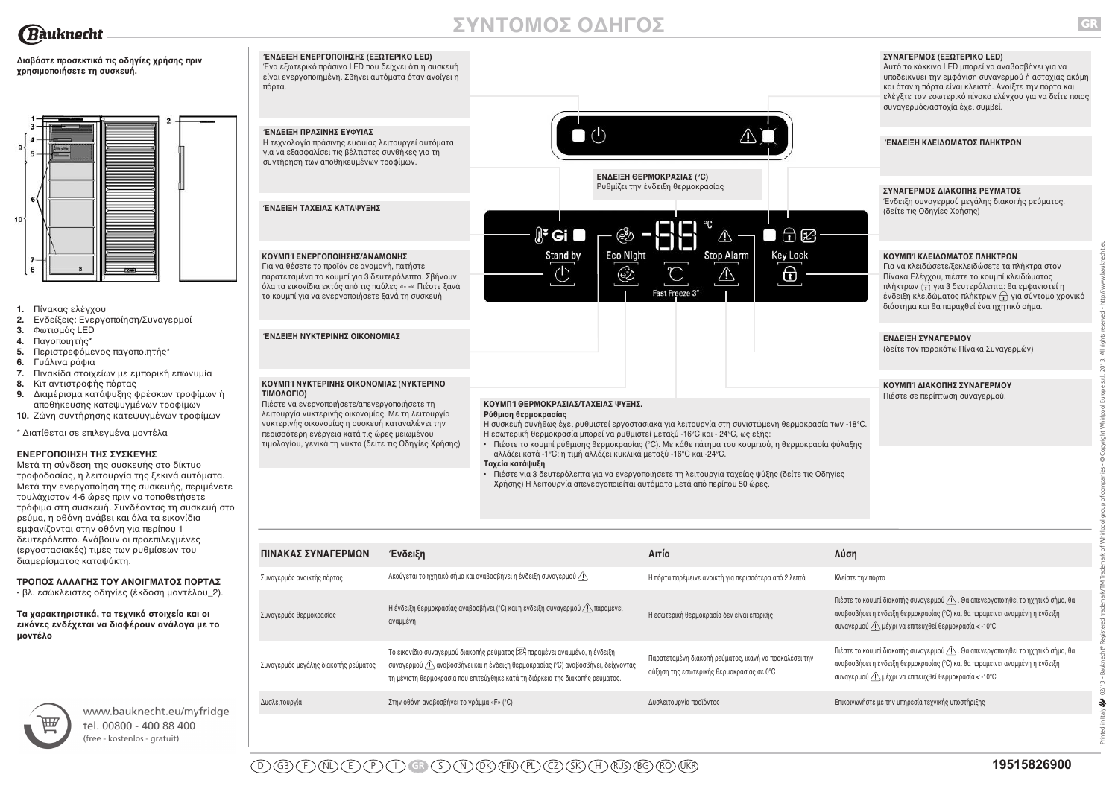

# **ΣΥΝΤΟΜΟΣ ΟΔΗΓΟΣ**



**GR**

Printed in Italy 02/13 - Bauknecht® Registered trademark/TM Trademark of Whirlpool group of companies - © Copyright Whirlpool Europe s.r.l. 2013. All rights reserved - http://www.bauknecht.eu

 $\boldsymbol{\epsilon}$ 



Συναγερμός ανοικτής πόρτας Ακούγεται το ηχητικό σήμα και αναβοσβήνει η ένδειξη συναγερμού Δεπτών Παρέμεινε ανοικτή για περισσότερα από 2 λεπτά Κλείστε την πόρτα

Δυσλειτουργία Στην οθόνη αναβοσβήνει το γράμμα «F» (°C) Δυσλειτουργία προϊόντος Επικοινωνήστε με την υπηρεσία τεχνικής υποστήριξης

Η εσωτερική θερμοκρασία δεν είναι επαρκής

Παρατεταμένη διακοπή ρεύματος, ικανή να προκαλέσει την αύξηση της εσωτερικής θερμοκρασίας σε 0°C

|  |  |  | ΤΡΟΠΟΣ ΑΛΛΑΓΗΣ ΤΟΥ ΑΝΟΙΓΜΑΤΟΣ ΠΟΡΤΑΣ |  |
|--|--|--|--------------------------------------|--|
|  |  |  |                                      |  |

- βλ. εσώκλειστες οδηγίες (έκδοση μοντέλου\_2).

#### **Τα χαρακτηριστικά, τα τεχνικά στοιχεία και οι εικόνες ενδέχεται να διαφέρουν ανάλογα με το μοντέλο**



www.bauknecht.eu/myfridge tel. 00800 - 400 88 400 free - kostenlos - gratuit)

Το εικονίδιο συναγερμού διακοπής ρεύματος παραμένει αναμμένο, η ένδειξη συναγερμού αναβοσβήνει και η ένδειξη θερμοκρασίας (°C) αναβοσβήνει, δείχνοντας τη μέγιστη θερμοκρασία που επιτεύχθηκε κατά τη διάρκεια της διακοπής ρεύματος.

Συναγερμός θερμοκρασίας Η ένδειξη θερμοκρασίας αναβοσβήνει (°C) και η ένδειξη συναγερμού ∕∆παραμένει αναμμένη

Συναγερμός μεγάλης διακοπής ρεύματος

Πιέστε το κουμπί διακοπής συναγερμού / Λ. Θα απενεργοποιηθεί το ηχητικό σήμα, θα αναβοσβήσει η ένδειξη θερμοκρασίας (°C) και θα παραμείνει αναμμένη η ένδειξη

Πιέστε το κουμπί διακοπής συναγερμού  $\bigwedge$ . Θα απενεργοποιηθεί το ηχητικό σήμα, θα αναβοσβήσει η ένδειξη θερμοκρασίας (°C) και θα παραμείνει αναμμένη η ένδειξη

συναγερμού μέχρι να επιτευχθεί θερμοκρασία < -10°C.

συναγερμού μέχρι να επιτευχθεί θερμοκρασία < -10°C.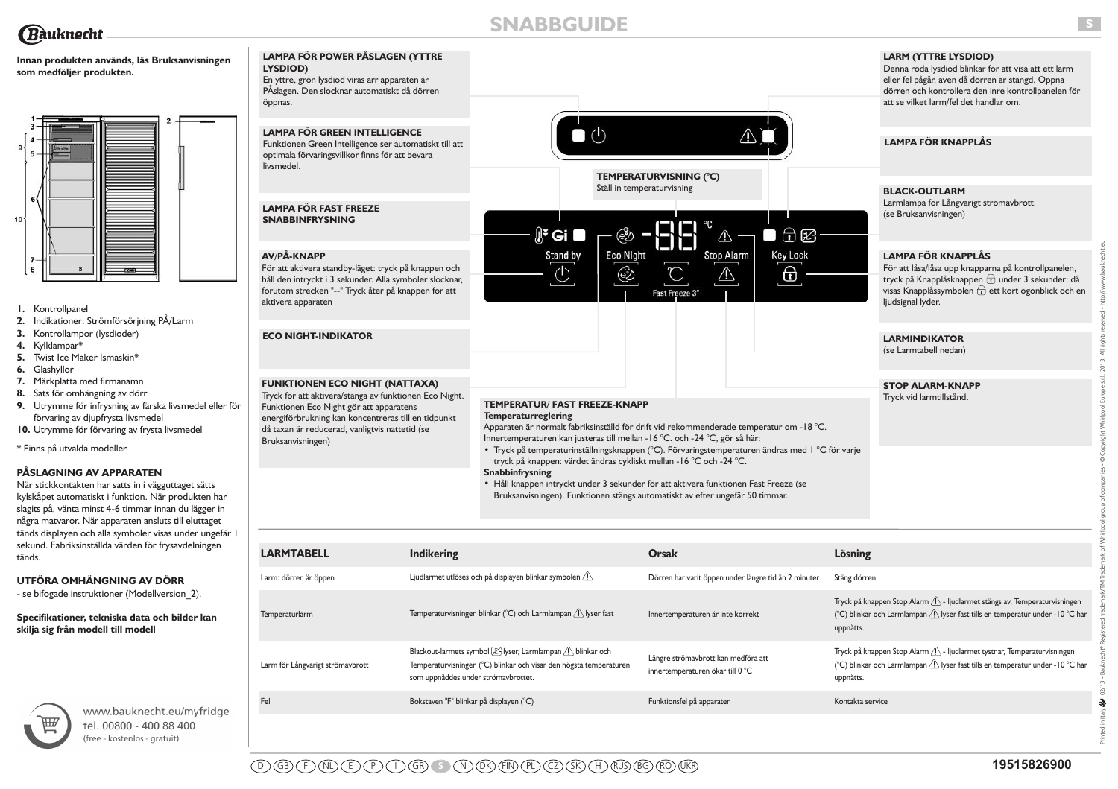# **Innan produkten används, läs Bruksanvisningen som medföljer produkten.**



- **1.** Kontrollpanel
- **2.** Indikationer: Strömförsörjning PÅ/Larm
- **3.** Kontrollampor (lysdioder)
- **4.** Kylklampar\*
- **5.** Twist Ice Maker Ismaskin\*
- **6.** Glashyllor
- **7.** Märkplatta med firmanamn
- **8.** Sats för omhängning av dörr
- **9.** Utrymme för infrysning av färska livsmedel eller för förvaring av djupfrysta livsmedel
- **10.** Utrymme för förvaring av frysta livsmedel

\* Finns på utvalda modeller

# **PÅSLAGNING AV APPARATEN**

När stickkontakten har satts in i vägguttaget sätts kylskåpet automatiskt i funktion. När produkten har slagits på, vänta minst 4-6 timmar innan du lägger in några matvaror. När apparaten ansluts till eluttaget tänds displayen och alla symboler visas under ungefär 1 sekund. Fabriksinställda värden för frysavdelningen tänds.

# **UTFÖRA OMHÄNGNING AV DÖRR**

- se bifogade instruktioner (Modellversion\_2).

**Specifikationer, tekniska data och bilder kan skilja sig från modell till modell**



www.bauknecht.eu/myfridge tel. 00800 - 400 88 400 (free - kostenlos - gratuit)

### **LAMPA FÖR POWER PÅSLAGEN (YTTRE LYSDIOD)** En yttre, grön lysdiod viras arr apparaten är PÅslagen. Den slocknar automatiskt då dörren

**LAMPA FÖR GREEN INTELLIGENCE** Funktionen Green Intelligence ser automatiskt till att optimala förvaringsvillkor finns för att bevara

livsmedel.

öppnas.

**LAMPA FÖR FAST FREEZE SNABBINFRYSNING**



**LARM (YTTRE LYSDIOD)**

Denna röda lysdiod blinkar för att visa att ett larm eller fel pågår, även då dörren är stängd. Öppna dörren och kontrollera den inre kontrollpanelen för att se vilket larm/fel det handlar om.

# **LAMPA FÖR KNAPPLÅS**

**BLACK-OUTLARM**

Larmlampa för Långvarigt strömavbrott. (se Bruksanvisningen)

# **LAMPA FÖR KNAPPLÅS**

# **LARMINDIKATOR**

# **STOP ALARM-KNAPP**

# **TEMPERATUR/ FAST FREEZE-KNAPP**

### **Snabbinfrysning**

| <b>AV/PÅ-KNAPP</b><br>För att aktivera standby-läget: tryck på knappen och<br>håll den intryckt i 3 sekunder. Alla symboler slocknar,<br>förutom strecken "--" Tryck åter på knappen för att<br>aktivera apparaten                                                       |                                         | Stand by<br>C                                                                                                                                                                                                                                                                                                                                                                                                                                                                                                                                                                                                     | <b>Eco Night</b><br>෯ | <b>Stop Alarm</b><br>Fast Freeze 3"                                     | <b>Key Lock</b><br>6 |                  | <b>LAMPA FÖR KNAPPLÅS</b><br>För att låsa/låsa upp knapparna på kontrollpanelen,<br>tryck på Knapplåsknappen + under 3 sekunder: då<br>visas Knapplåssymbolen $\Box$ ett kort ögonblick och en<br>ljudsignal lyder. |
|--------------------------------------------------------------------------------------------------------------------------------------------------------------------------------------------------------------------------------------------------------------------------|-----------------------------------------|-------------------------------------------------------------------------------------------------------------------------------------------------------------------------------------------------------------------------------------------------------------------------------------------------------------------------------------------------------------------------------------------------------------------------------------------------------------------------------------------------------------------------------------------------------------------------------------------------------------------|-----------------------|-------------------------------------------------------------------------|----------------------|------------------|---------------------------------------------------------------------------------------------------------------------------------------------------------------------------------------------------------------------|
| <b>ECO NIGHT-INDIKATOR</b>                                                                                                                                                                                                                                               |                                         |                                                                                                                                                                                                                                                                                                                                                                                                                                                                                                                                                                                                                   |                       |                                                                         |                      |                  | <b>LARMINDIKATOR</b><br>(se Larmtabell nedan)                                                                                                                                                                       |
| <b>FUNKTIONEN ECO NIGHT (NATTAXA)</b><br>Tryck för att aktivera/stänga av funktionen Eco Night.<br>Funktionen Eco Night gör att apparatens<br>energiförbrukning kan koncentreras till en tidpunkt<br>då taxan är reducerad, vanligtvis nattetid (se<br>Bruksanvisningen) |                                         | <b>TEMPERATUR/ FAST FREEZE-KNAPP</b><br><b>Temperaturreglering</b><br>Apparaten är normalt fabriksinställd för drift vid rekommenderade temperatur om - I8 °C.<br>Innertemperaturen kan justeras till mellan -16 °C. och -24 °C, gör så här:<br>· Tryck på temperaturinställningsknappen (°C). Förvaringstemperaturen ändras med 1 °C för varje<br>tryck på knappen: värdet ändras cykliskt mellan - 16 °C och -24 °C.<br>Snabbinfrysning<br>• Håll knappen intryckt under 3 sekunder för att aktivera funktionen Fast Freeze (se<br>Bruksanvisningen). Funktionen stängs automatiskt av efter ungefär 50 timmar. |                       |                                                                         |                      |                  | <b>STOP ALARM-KNAPP</b><br>Tryck vid larmtillstånd.                                                                                                                                                                 |
| <b>LARMTABELL</b>                                                                                                                                                                                                                                                        | <b>Indikering</b>                       |                                                                                                                                                                                                                                                                                                                                                                                                                                                                                                                                                                                                                   | <b>Orsak</b>          |                                                                         |                      | Lösning          |                                                                                                                                                                                                                     |
| Larm: dörren är öppen                                                                                                                                                                                                                                                    |                                         | Ljudlarmet utlöses och på displayen blinkar symbolen $\langle \cdot \rangle$                                                                                                                                                                                                                                                                                                                                                                                                                                                                                                                                      |                       | Dörren har varit öppen under längre tid än 2 minuter                    |                      | Stäng dörren     |                                                                                                                                                                                                                     |
| Temperaturlarm                                                                                                                                                                                                                                                           |                                         | Temperaturvisningen blinkar (°C) och Larmlampan $\bigwedge$ lyser fast                                                                                                                                                                                                                                                                                                                                                                                                                                                                                                                                            |                       | Innertemperaturen är inte korrekt                                       |                      | uppnåtts.        | Tryck på knappen Stop Alarm $\triangle$ - ljudlarmet stängs av, Temperaturvisningen<br>(°C) blinkar och Larmlampan $\bigwedge$ lyser fast tills en temperatur under -10 °C har                                      |
| Larm för Långvarigt strömavbrott                                                                                                                                                                                                                                         |                                         | Blackout-larmets symbol $[2]$ lyser, Larmlampan $[$ blinkar och<br>Temperaturvisningen (°C) blinkar och visar den högsta temperaturen<br>som uppnåddes under strömavbrottet.                                                                                                                                                                                                                                                                                                                                                                                                                                      |                       | Längre strömavbrott kan medföra att<br>innertemperaturen ökar till 0 °C |                      | uppnåtts.        | Tryck på knappen Stop Alarm 1. - ljudlarmet tystnar, Temperaturvisningen<br>(°C) blinkar och Larmlampan $\langle \cdot \rangle$ lyser fast tills en temperatur under -10 °C har                                     |
| Fel                                                                                                                                                                                                                                                                      | Bokstaven "F" blinkar på displayen (°C) |                                                                                                                                                                                                                                                                                                                                                                                                                                                                                                                                                                                                                   |                       | Funktionsfel på apparaten                                               |                      | Kontakta service |                                                                                                                                                                                                                     |
|                                                                                                                                                                                                                                                                          |                                         |                                                                                                                                                                                                                                                                                                                                                                                                                                                                                                                                                                                                                   |                       |                                                                         |                      |                  |                                                                                                                                                                                                                     |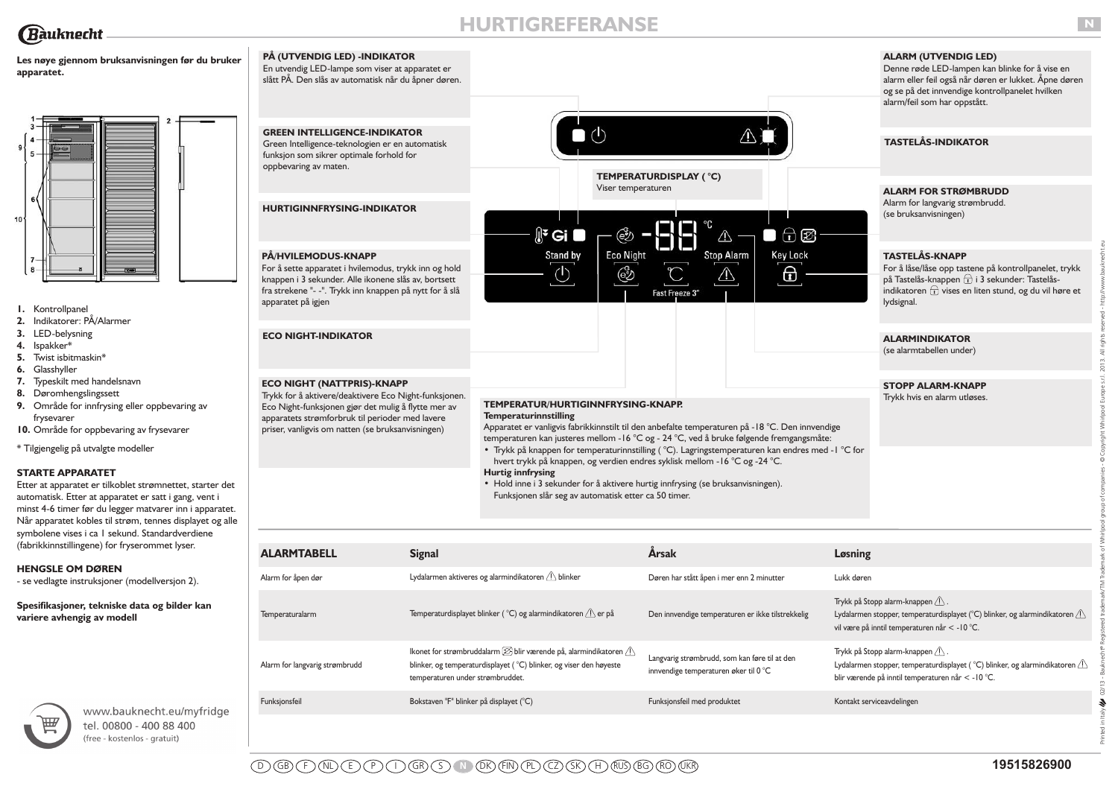**apparatet.**

 $10$ 

**Les nøye gjennom bruksanvisningen før du bruker**

**GREEN INTELLIGENCE-INDIKATOR** Green Intelligence-teknologien er en automatisk funksjon som sikrer optimale forhold for

**PÅ (UTVENDIG LED) -INDIKATOR** En utvendig LED-lampe som viser at apparatet er slått PÅ. Den slås av automatisk når du åpner døren.

**HURTIGINNFRYSING-INDIKATOR**

oppbevaring av maten.

# **HURTIGREFERANSE**

 $\mathbb{R}^2$  Gi

# **ALARM (UTVENDIG LED)**

Denne røde LED-lampen kan blinke for å vise en alarm eller feil også når døren er lukket. Åpne døren og se på det innvendige kontrollpanelet hvilken alarm/feil som har oppstått.

# **TASTELÅS-INDIKATOR**

**ALARM FOR STRØMBRUDD**

Alarm for langvarig strømbrudd. (se bruksanvisningen)

# **TASTELÅS-KNAPP**

 $\bigoplus$   $\bigotimes$ 

 $\Box$ 

 $\wedge$ 

# **ALARMINDIKATOR**

D GB F NL E P I GR S **N** DK FIN PL CZ SK H RUS BG RO UKR **19515826900**

#### **TEMPERATUR/HURTIGINNFRYSING-KNAPP. Temperaturinnstilling**

**TEMPERATURDISPLAY ( °C)**

Viser temperaturen

ඐ

 $\bullet$  (b)

| PÅ/HVILEMODUS-KNAPP<br>For å sette apparatet i hvilemodus, trykk inn og hold<br>knappen i 3 sekunder. Alle ikonene slås av, bortsett<br>fra strekene "- -". Trykk inn knappen på nytt for å slå<br>apparatet på igjen                                     |                                         | Stand by<br>C                                                                                                                                                                                                                                                                                                                                                                                                                                                                                                                                                                                                                 | <b>Eco Night</b><br>෯ | Fast Freeze 3"              | <b>Stop Alarm</b>                                                                      | <b>Key Lock</b><br>θ                              |                           | <b>TASTELÅS-KNAPP</b><br>For å låse/låse opp tastene på kontrollpanelet, trykk<br>på Tastelås-knappen + i 3 sekunder: Tastelås-<br>indikatoren $\overrightarrow{t}$ vises en liten stund, og du vil høre et<br>lydsignal. |
|-----------------------------------------------------------------------------------------------------------------------------------------------------------------------------------------------------------------------------------------------------------|-----------------------------------------|-------------------------------------------------------------------------------------------------------------------------------------------------------------------------------------------------------------------------------------------------------------------------------------------------------------------------------------------------------------------------------------------------------------------------------------------------------------------------------------------------------------------------------------------------------------------------------------------------------------------------------|-----------------------|-----------------------------|----------------------------------------------------------------------------------------|---------------------------------------------------|---------------------------|---------------------------------------------------------------------------------------------------------------------------------------------------------------------------------------------------------------------------|
| <b>ECO NIGHT-INDIKATOR</b>                                                                                                                                                                                                                                |                                         |                                                                                                                                                                                                                                                                                                                                                                                                                                                                                                                                                                                                                               |                       |                             |                                                                                        |                                                   |                           | <b>ALARMINDIKATOR</b><br>(se alarmtabellen under)                                                                                                                                                                         |
| <b>ECO NIGHT (NATTPRIS)-KNAPP</b><br>Trykk for å aktivere/deaktivere Eco Night-funksjonen.<br>Eco Night-funksjonen gjør det mulig å flytte mer av<br>apparatets strømforbruk til perioder med lavere<br>priser, vanligvis om natten (se bruksanvisningen) |                                         | TEMPERATUR/HURTIGINNFRYSING-KNAPP.<br><b>Temperaturinnstilling</b><br>Apparatet er vanligvis fabrikkinnstilt til den anbefalte temperaturen på -18 °C. Den innvendige<br>temperaturen kan justeres mellom - 16 °C og - 24 °C, ved å bruke følgende fremgangsmåte:<br>• Trykk på knappen for temperaturinnstilling (°C). Lagringstemperaturen kan endres med - I °C for<br>hvert trykk på knappen, og verdien endres syklisk mellom - 16 °C og -24 °C.<br><b>Hurtig innfrysing</b><br>• Hold inne i 3 sekunder for å aktivere hurtig innfrysing (se bruksanvisningen).<br>Funksjonen slår seg av automatisk etter ca 50 timer. |                       |                             |                                                                                        |                                                   |                           | <b>STOPP ALARM-KNAPP</b><br>Trykk hvis en alarm utløses.                                                                                                                                                                  |
| <b>ALARMTABELL</b>                                                                                                                                                                                                                                        | <b>Signal</b>                           |                                                                                                                                                                                                                                                                                                                                                                                                                                                                                                                                                                                                                               |                       | Årsak                       |                                                                                        |                                                   | Løsning                   |                                                                                                                                                                                                                           |
| Alarm for åpen dør                                                                                                                                                                                                                                        |                                         | Lydalarmen aktiveres og alarmindikatoren A blinker                                                                                                                                                                                                                                                                                                                                                                                                                                                                                                                                                                            |                       |                             | Døren har stått åpen i mer enn 2 minutter                                              |                                                   | Lukk døren                |                                                                                                                                                                                                                           |
| Temperaturalarm                                                                                                                                                                                                                                           |                                         | Temperaturdisplayet blinker (°C) og alarmindikatoren $\bigwedge$ er på                                                                                                                                                                                                                                                                                                                                                                                                                                                                                                                                                        |                       |                             |                                                                                        | Den innvendige temperaturen er ikke tilstrekkelig |                           | Trykk på Stopp alarm-knappen $\langle \cdot \rangle$ .<br>Lydalarmen stopper, temperaturdisplayet ( $^{\circ}$ C) blinker, og alarmindikatoren $\triangle$<br>vil være på inntil temperaturen når < -10 °C.               |
| Alarm for langvarig strømbrudd                                                                                                                                                                                                                            | temperaturen under strømbruddet.        | lkonet for strømbruddalarm $[\![\mathcal{D}]\!]$ blir værende på, alarmindikatoren $\langle\! \rangle$<br>blinker, og temperaturdisplayet (°C) blinker, og viser den høyeste                                                                                                                                                                                                                                                                                                                                                                                                                                                  |                       |                             | Langvarig strømbrudd, som kan føre til at den<br>innvendige temperaturen øker til 0 °C |                                                   |                           | Trykk på Stopp alarm-knappen 1.<br>Lydalarmen stopper, temperaturdisplayet (°C) blinker, og alarmindikatoren $\bigcirc$<br>blir værende på inntil temperaturen når < - 10 °C.                                             |
| Funksjonsfeil                                                                                                                                                                                                                                             | Bokstaven "F" blinker på displayet (°C) |                                                                                                                                                                                                                                                                                                                                                                                                                                                                                                                                                                                                                               |                       | Funksjonsfeil med produktet |                                                                                        |                                                   | Kontakt serviceavdelingen |                                                                                                                                                                                                                           |
|                                                                                                                                                                                                                                                           |                                         |                                                                                                                                                                                                                                                                                                                                                                                                                                                                                                                                                                                                                               |                       |                             |                                                                                        |                                                   |                           |                                                                                                                                                                                                                           |



- **1.** Kontrollpanel **2.** Indikatorer: PÅ/Alarmer
- **3.** LED-belysning
- **4.** Ispakker\*
- **5.** Twist isbitmaskin\*
- **6.** Glasshyller
- **7.** Typeskilt med handelsnavn
- **8.** Døromhengslingssett
- **9.** Område for innfrysing eller oppbevaring av frysevarer
- **10.** Område for oppbevaring av frysevarer

\* Tilgjengelig på utvalgte modeller

### **STARTE APPARATET**

Etter at apparatet er tilkoblet strømnettet, starter det automatisk. Etter at apparatet er satt i gang, vent i minst 4-6 timer før du legger matvarer inn i apparatet. Når apparatet kobles til strøm, tennes displayet og alle symbolene vises i ca 1 sekund. Standardverdiene (fabrikkinnstillingene) for fryserommet lyser.

# **HENGSLE OM DØREN**

- se vedlagte instruksjoner (modellversjon 2).

**Spesifikasjoner, tekniske data og bilder kan variere avhengig av modell** 



www.bauknecht.eu/myfridge tel. 00800 - 400 88 400 (free - kostenlos - gratuit)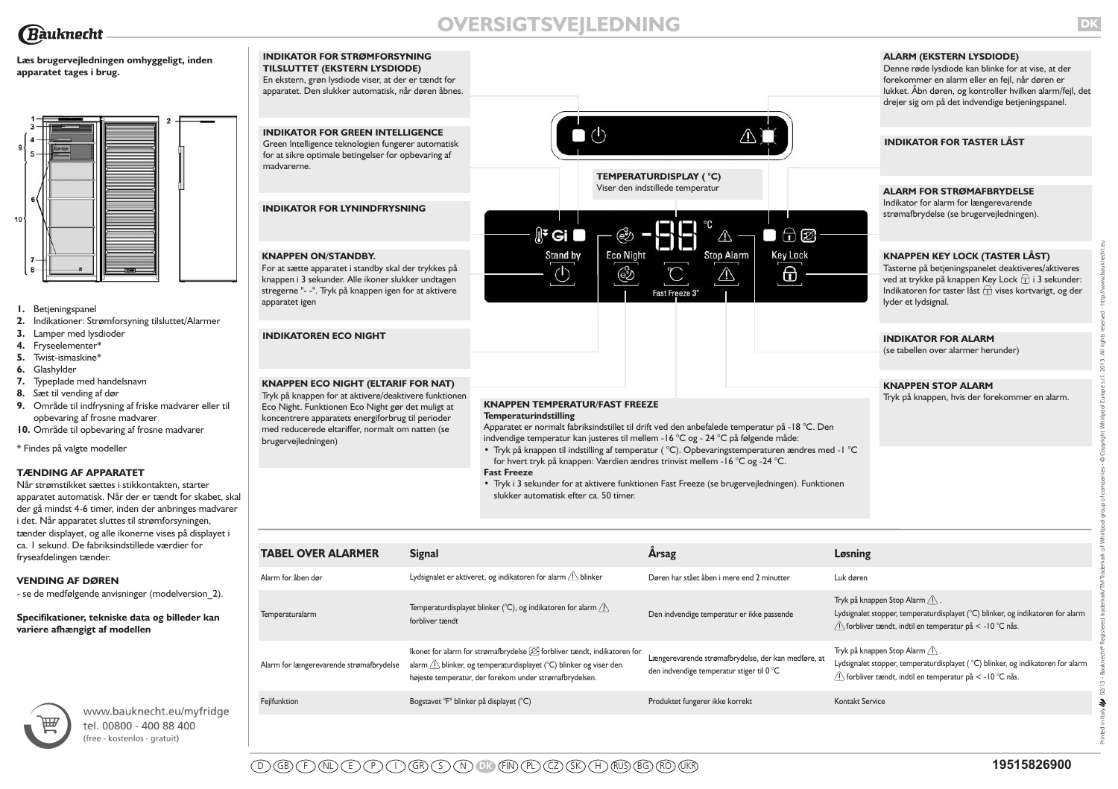

# **OVERSIGTSVEJLEDNING**

 $\mathbb{R}^2$  Gi

 $\bullet$  (b)

**DK**

**ALARM (EKSTERN LYSDIODE)** Denne røde lysdiode kan blinke for at vise, at der forekommer en alarm eller en fejl, når døren er lukket. Åbn døren, og kontroller hvilken alarm/fejl, det drejer sig om på det indvendige betjeningspanel.

**INDIKATOR FOR TASTER LÅST**

**ALARM FOR STRØMAFBRYDELSE**

Indikator for alarm for længerevarende strømafbrydelse (se brugervejledningen).

# **KNAPPEN KEY LOCK (TASTER LÅST)**

# **INDIKATOR FOR ALARM**

**Læs brugervejledningen omhyggeligt, inden apparatet tages i brug.**



- **1.** Betjeningspanel
- **2.** Indikationer: Strømforsyning tilsluttet/Alarmer
- **3.** Lamper med lysdioder
- **4.** Fryseelementer\*
- **5.** Twist-ismaskine\*
- **6.** Glashylder
- **7.** Typeplade med handelsnavn
- **8.** Sæt til vending af dør
- **9.** Område til indfrysning af friske madvarer eller til opbevaring af frosne madvarer
- **10.** Område til opbevaring af frosne madvarer

\* Findes på valgte modeller

# **TÆNDING AF APPARATET**

Når strømstikket sættes i stikkontakten, starter apparatet automatisk. Når der er tændt for skabet, skal der gå mindst 4-6 timer, inden der anbringes madvarer i det. Når apparatet sluttes til strømforsyningen, tænder displayet, og alle ikonerne vises på displayet i ca. 1 sekund. De fabriksindstillede værdier for fryseafdelingen tænder.

#### **VENDING AF DØREN**

- se de medfølgende anvisninger (modelversion\_2).

**Specifikationer, tekniske data og billeder kan variere afhængigt af modellen**



www.bauknecht.eu/myfridge tel. 00800 - 400 88 400 (free - kostenlos - gratuit)

# **KNAPPEN TEMPERATUR/FAST FREEZE Temperaturindstilling**

#### **Fast Freeze**

**INDIKATOR FOR GREEN INTELLIGENCE** Green Intelligence teknologien fungerer automatisk for at sikre optimale betingelser for opbevaring af

**INDIKATOR FOR STRØMFORSYNING TILSLUTTET (EKSTERN LYSDIODE)** En ekstern, grøn lysdiode viser, at der er tændt for apparatet. Den slukker automatisk, når døren åbnes.

**INDIKATOR FOR LYNINDFRYSNING**

madvarerne.

**TEMPERATURDISPLAY ( °C)** Viser den indstillede temperatur

ඐ

 $\bigoplus$   $\bigotimes$ 

 $\Box$ 

 $\wedge$ 

| <b>KNAPPEN ON/STANDBY.</b><br>For at sætte apparatet i standby skal der trykkes på<br>knappen i 3 sekunder. Alle ikoner slukker undtagen<br>stregerne "- -". Tryk på knappen igen for at aktivere<br>apparatet igen                                                                      |                                         | Stand by                                                                                                                                                                                                                                                                                                                                                                                                                                                                                                                                                                                                          | <b>Eco Night</b><br>ණි | ا ا<br>Fast Freeze 3" | <b>Stop Alarm</b>                          | <b>Key Lock</b><br>⊕                                |                 | <b>KNAPPEN KEY LOCK (TASTER LÅST)</b><br>Tasterne på betjeningspanelet deaktiveres/aktiveres<br>ved at trykke på knappen Key Lock $\widehat{\mathbf{t}}$ i 3 sekunder:<br>Indikatoren for taster låst $\widehat{\mathbf{t}}$ vises kortvarigt, og der<br>lyder et lydsignal. |
|------------------------------------------------------------------------------------------------------------------------------------------------------------------------------------------------------------------------------------------------------------------------------------------|-----------------------------------------|-------------------------------------------------------------------------------------------------------------------------------------------------------------------------------------------------------------------------------------------------------------------------------------------------------------------------------------------------------------------------------------------------------------------------------------------------------------------------------------------------------------------------------------------------------------------------------------------------------------------|------------------------|-----------------------|--------------------------------------------|-----------------------------------------------------|-----------------|------------------------------------------------------------------------------------------------------------------------------------------------------------------------------------------------------------------------------------------------------------------------------|
| <b>INDIKATOREN ECO NIGHT</b>                                                                                                                                                                                                                                                             |                                         |                                                                                                                                                                                                                                                                                                                                                                                                                                                                                                                                                                                                                   |                        |                       |                                            |                                                     |                 | <b>INDIKATOR FOR ALARM</b><br>(se tabellen over alarmer herunder)                                                                                                                                                                                                            |
| <b>KNAPPEN ECO NIGHT (ELTARIF FOR NAT)</b><br>Tryk på knappen for at aktivere/deaktivere funktionen<br>Eco Night. Funktionen Eco Night gør det muligt at<br>koncentrere apparatets energiforbrug til perioder<br>med reducerede eltariffer, normalt om natten (se<br>brugervejledningen) |                                         | <b>KNAPPEN TEMPERATUR/FAST FREEZE</b><br><b>Temperaturindstilling</b><br>Apparatet er normalt fabriksindstillet til drift ved den anbefalede temperatur på -18 °C. Den<br>indvendige temperatur kan justeres til mellem - 16 °C og - 24 °C på følgende måde:<br>• Tryk på knappen til indstilling af temperatur (°C). Opbevaringstemperaturen ændres med - I °C<br>for hvert tryk på knappen: Værdien ændres trinvist mellem - 16 °C og -24 °C.<br><b>Fast Freeze</b><br>• Tryk i 3 sekunder for at aktivere funktionen Fast Freeze (se brugervejledningen). Funktionen<br>slukker automatisk efter ca. 50 timer. |                        |                       |                                            |                                                     |                 | <b>KNAPPEN STOP ALARM</b><br>Tryk på knappen, hvis der forekommer en alarm.                                                                                                                                                                                                  |
| <b>TABEL OVER ALARMER</b>                                                                                                                                                                                                                                                                | <b>Signal</b>                           |                                                                                                                                                                                                                                                                                                                                                                                                                                                                                                                                                                                                                   |                        | Årsag                 |                                            |                                                     | Løsning         |                                                                                                                                                                                                                                                                              |
| Alarm for åben dør                                                                                                                                                                                                                                                                       |                                         | Lydsignalet er aktiveret, og indikatoren for alarm $\bigcirc$ blinker                                                                                                                                                                                                                                                                                                                                                                                                                                                                                                                                             |                        |                       | Døren har stået åben i mere end 2 minutter |                                                     | Luk døren       |                                                                                                                                                                                                                                                                              |
| Temperaturalarm                                                                                                                                                                                                                                                                          | forbliver tændt                         | Temperaturdisplayet blinker ( $^{\circ}$ C), og indikatoren for alarm $\bigwedge$                                                                                                                                                                                                                                                                                                                                                                                                                                                                                                                                 |                        |                       | Den indvendige temperatur er ikke passende |                                                     |                 | Tryk på knappen Stop Alarm $\langle \cdot \rangle$ .<br>Lydsignalet stopper, temperaturdisplayet (°C) blinker, og indikatoren for alarm<br>/ forbliver tændt, indtil en temperatur på < -10 °C nås.                                                                          |
| Alarm for længerevarende strømafbrydelse                                                                                                                                                                                                                                                 |                                         | Ikonet for alarm for strømafbrydelse $[\mathcal{D} forbliver tændt, indikatoren foralarm \bigcirc blinker, og temperaturdisplayet (°C) blinker og viser denhøjeste temperatur, der forekom under strømafbrydelsen.$                                                                                                                                                                                                                                                                                                                                                                                               |                        |                       | den indvendige temperatur stiger til 0 °C  | Længerevarende strømafbrydelse, der kan medføre, at |                 | Tryk på knappen Stop Alarm $\langle \cdot \rangle$ .<br>Lydsignalet stopper, temperaturdisplayet ( °C) blinker, og indikatoren for alarm<br>$\sqrt{ }$ forbliver tændt, indtil en temperatur på < -10 °C nås.                                                                |
| Fejlfunktion                                                                                                                                                                                                                                                                             | Bogstavet "F" blinker på displayet (°C) |                                                                                                                                                                                                                                                                                                                                                                                                                                                                                                                                                                                                                   |                        |                       | Produktet fungerer ikke korrekt            |                                                     | Kontakt Service |                                                                                                                                                                                                                                                                              |
|                                                                                                                                                                                                                                                                                          |                                         |                                                                                                                                                                                                                                                                                                                                                                                                                                                                                                                                                                                                                   |                        |                       |                                            |                                                     |                 |                                                                                                                                                                                                                                                                              |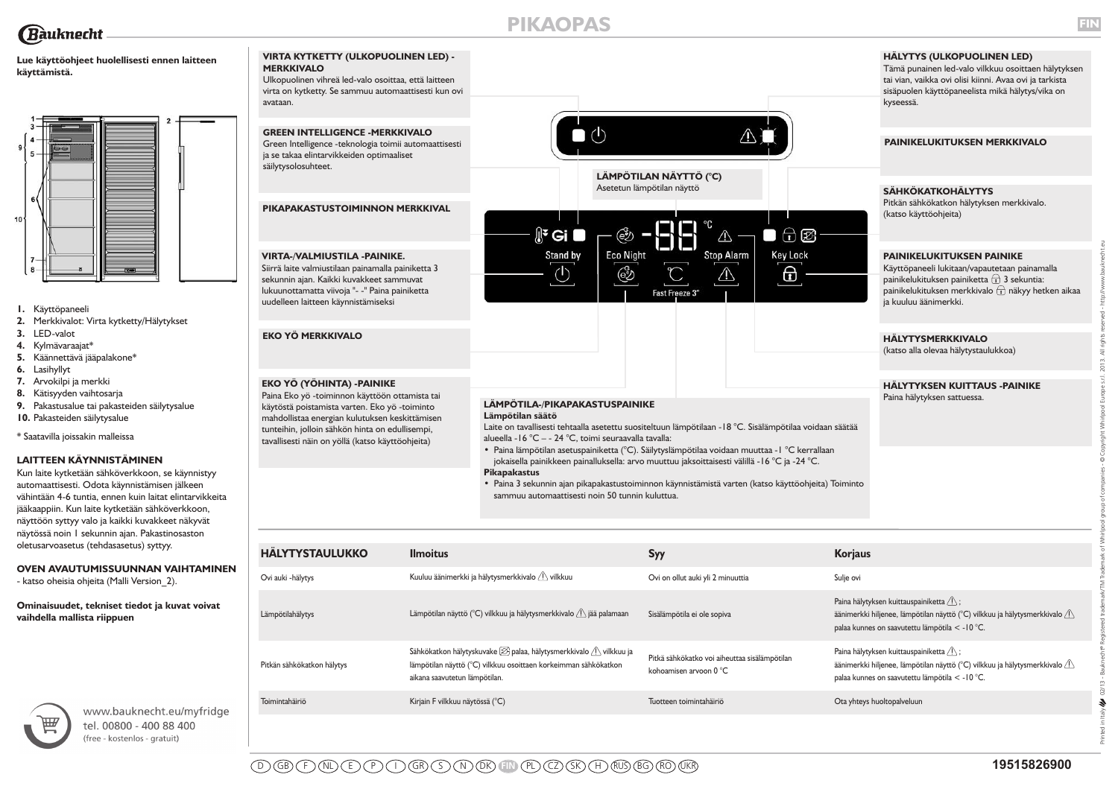# **Lue käyttöohjeet huolellisesti ennen laitteen käyttämistä.**

avataan.



- **1.** Käyttöpaneeli
- **2.** Merkkivalot: Virta kytketty/Hälytykset
- **3.** LED-valot
- **4.** Kylmävaraajat\*
- **5.** Käännettävä jääpalakone\*
- **6.** Lasihyllyt
- **7.** Arvokilpi ja merkki
- **8.** Kätisyyden vaihtosarja
- **9.** Pakastusalue tai pakasteiden säilytysalue
- **10.** Pakasteiden säilytysalue

\* Saatavilla joissakin malleissa

# **LAITTEEN KÄYNNISTÄMINEN**

Kun laite kytketään sähköverkkoon, se käynnistyy automaattisesti. Odota käynnistämisen jälkeen vähintään 4-6 tuntia, ennen kuin laitat elintarvikkeita jääkaappiin. Kun laite kytketään sähköverkkoon, näyttöön syttyy valo ja kaikki kuvakkeet näkyvät näytössä noin 1 sekunnin ajan. Pakastinosaston oletusarvoasetus (tehdasasetus) syttyy.

# **OVEN AVAUTUMISSUUNNAN VAIHTAMINEN**

- katso oheisia ohjeita (Malli Version 2).

**Ominaisuudet, tekniset tiedot ja kuvat voivat vaihdella mallista riippuen** 



www.bauknecht.eu/myfridge tel. 00800 - 400 88 400 (free - kostenlos - gratuit)



**•** Paina 3 sekunnin ajan pikapakastustoiminnon käynnistämistä varten (katso käyttöohjeita) Toiminto sammuu automaattisesti noin 50 tunnin kuluttua.

| <b>HALYTYSTAULUKKO</b>     | <b>Ilmoitus</b>                                                                                                                                                                                | <b>Syy</b>                                                              | <b>Korjaus</b>                                                                                                                                                                                          |
|----------------------------|------------------------------------------------------------------------------------------------------------------------------------------------------------------------------------------------|-------------------------------------------------------------------------|---------------------------------------------------------------------------------------------------------------------------------------------------------------------------------------------------------|
| Ovi auki - hälytys         | Kuuluu äänimerkki ja hälytysmerkkivalo <i>A</i> vilkkuu                                                                                                                                        | Ovi on ollut auki yli 2 minuuttia                                       | Sulje ovi                                                                                                                                                                                               |
| Lämpötilahälytys           | Lämpötilan näyttö (°C) vilkkuu ja hälytysmerkkivalo $\bigwedge$ jää palamaan                                                                                                                   | Sisälämpötila ei ole sopiva                                             | Paina hälytyksen kuittauspainiketta $\sqrt{N}$ ;<br>äänimerkki hiljenee, lämpötilan näyttö ( $^{\circ}$ C) vilkkuu ja hälytysmerkkivalo $\wedge$<br>palaa kunnes on saavutettu lämpötila < -10 °C.      |
| Pitkän sähkökatkon hälytys | Sähkökatkon hälytyskuvake $\boxtimes$ palaa, hälytysmerkkivalo $\bigtriangleup$ vilkkuu ja<br>lämpötilan näyttö (°C) vilkkuu osoittaen korkeimman sähkökatkon<br>aikana saavutetun lämpötilan. | Pitkä sähkökatko voi aiheuttaa sisälämpötilan<br>kohoamisen arvoon 0 °C | Paina hälytyksen kuittauspainiketta $\sqrt{ }$ ;<br>äänimerkki hiljenee, lämpötilan näyttö (°C) vilkkuu ja hälytysmerkkivalo $\langle \cdot \rangle$<br>palaa kunnes on saavutettu lämpötila < - 10 °C. |
| Toimintahäiriö             | Kirjain F vilkkuu näytössä (°C)                                                                                                                                                                | Tuotteen toimintahäiriö                                                 | Ota yhteys huoltopalveluun                                                                                                                                                                              |

Printed in Italy 02/13 - Bauknecht® Registered trademark/TM Trademark of Whirlpool group of companies - © Copyright Whirlpool Europe s.r.l. 2013. All rights reserved - http://www.bauknecht.eu

 $2/13 \hat{\mathcal{F}}$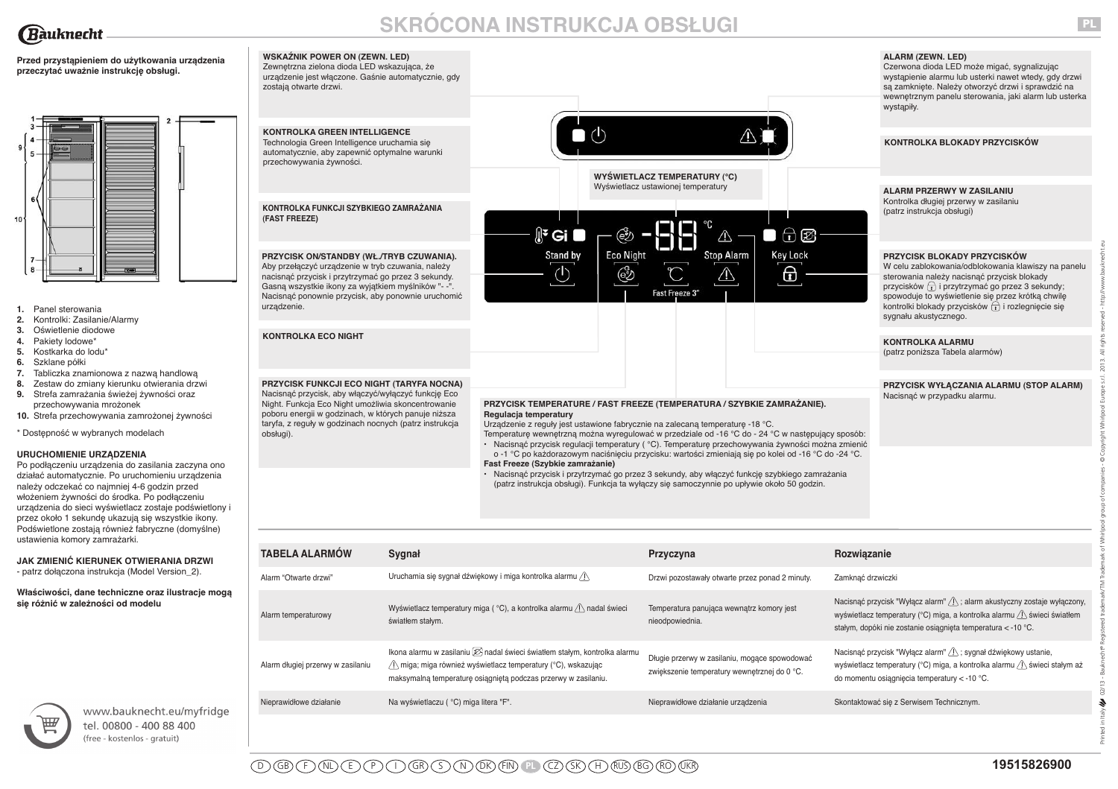

# **SKRÓCONA INSTRUKCJA OBSŁUGI**

**Przed przystąpieniem do użytkowania urządzenia przeczytać uważnie instrukcję obsługi.**



- **1.** Panel sterowania
- **2.** Kontrolki: Zasilanie/Alarmy
- **3.** Oświetlenie diodowe
- **4.** Pakiety lodowe\*
- **5.** Kostkarka do lodu\*
- **6.** Szklane półki
- **7.** Tabliczka znamionowa z nazwą handlową
- **8.** Zestaw do zmiany kierunku otwierania drzwi
- **9.** Strefa zamrażania świeżej żywności oraz przechowywania mrożonek
- **10.** Strefa przechowywania zamrożonej żywności

### \* Dostępność w wybranych modelach

#### **URUCHOMIENIE URZĄDZENIA**

Po podłączeniu urządzenia do zasilania zaczyna ono działać automatycznie. Po uruchomieniu urządzenia należy odczekać co najmniej 4-6 godzin przed włożeniem żywności do środka. Po podłączeniu urządzenia do sieci wyświetlacz zostaje podświetlony i przez około 1 sekundę ukazują się wszystkie ikony. Podświetlone zostają również fabryczne (domyślne) ustawienia komory zamrażarki.

**JAK ZMIENIĆ KIERUNEK OTWIERANIA DRZWI** - patrz dołączona instrukcja (Model Version\_2).

**Właściwości, dane techniczne oraz ilustracje mogą się różnić w zależności od modelu**



www.bauknecht.eu/myfridge tel. 00800 - 400 88 400 (free - kostenlos - gratuit)

|     | <b>WSKAŹNIK POWER ON (ZEWN. LED)</b><br>Zewnętrzna zielona dioda LED wskazująca, że<br>urządzenie jest włączone. Gaśnie automatycznie, gdy<br>zostają otwarte drzwi.                                                                                                             |                                                                                                                                                                                                                                                                                                                                                                                            | <b>ALARM (ZEWN. LED)</b><br>Czerwona dioda LED może migać, sygnalizując<br>wystąpienie alarmu lub usterki nawet wtedy, gdy drzwi<br>są zamknięte. Należy otworzyć drzwi i sprawdzić na<br>wewnętrznym panelu sterowania, jaki alarm lub usterka<br>wystąpiły.                                                                                                                          |
|-----|----------------------------------------------------------------------------------------------------------------------------------------------------------------------------------------------------------------------------------------------------------------------------------|--------------------------------------------------------------------------------------------------------------------------------------------------------------------------------------------------------------------------------------------------------------------------------------------------------------------------------------------------------------------------------------------|----------------------------------------------------------------------------------------------------------------------------------------------------------------------------------------------------------------------------------------------------------------------------------------------------------------------------------------------------------------------------------------|
|     | <b>KONTROLKA GREEN INTELLIGENCE</b>                                                                                                                                                                                                                                              |                                                                                                                                                                                                                                                                                                                                                                                            |                                                                                                                                                                                                                                                                                                                                                                                        |
|     | Technologia Green Intelligence uruchamia się<br>automatycznie, aby zapewnić optymalne warunki<br>przechowywania żywności.                                                                                                                                                        |                                                                                                                                                                                                                                                                                                                                                                                            | KONTROLKA BLOKADY PRZYCISKÓW                                                                                                                                                                                                                                                                                                                                                           |
|     |                                                                                                                                                                                                                                                                                  | <b>WYŚWIETLACZ TEMPERATURY (°C)</b><br>Wyświetlacz ustawionej temperatury                                                                                                                                                                                                                                                                                                                  |                                                                                                                                                                                                                                                                                                                                                                                        |
|     | KONTROLKA FUNKCJI SZYBKIEGO ZAMRAŻANIA<br>(FAST FREEZE)                                                                                                                                                                                                                          | ∬ <sup>ะ</sup> Gi ■<br>€₹<br>五國                                                                                                                                                                                                                                                                                                                                                            | <b>ALARM PRZERWY W ZASILANIU</b><br>Kontrolka długiej przerwy w zasilaniu<br>(patrz instrukcja obsługi)                                                                                                                                                                                                                                                                                |
|     |                                                                                                                                                                                                                                                                                  | /!\                                                                                                                                                                                                                                                                                                                                                                                        |                                                                                                                                                                                                                                                                                                                                                                                        |
|     | PRZYCISK ON/STANDBY (WŁ./TRYB CZUWANIA).<br>Aby przełączyć urządzenie w tryb czuwania, należy<br>nacisnąć przycisk i przytrzymać go przez 3 sekundy.<br>Gasną wszystkie ikony za wyjątkiem myślników "- -".<br>Nacisnąć ponownie przycisk, aby ponownie uruchomić<br>urządzenie. | <b>Eco Night</b><br><b>Stop Alarm</b><br><b>Key Lock</b><br>Stand by<br>⊕<br>↺<br>ල්<br>Fast Freeze 3"                                                                                                                                                                                                                                                                                     | <b>PRZYCISK BLOKADY PRZYCISKÓW</b><br>W celu zablokowania/odblokowania klawiszy na panelu<br>sterowania należy nacisnąć przycisk blokady<br>przycisków $\left\lfloor \frac{1}{1} \right\rfloor$ i przytrzymać go przez 3 sekundy;<br>spowoduje to wyświetlenie się przez krótką chwilę<br>kontrolki blokady przycisków $\bigcap_{i=1}^{n}$ i rozlegnięcie się<br>sygnału akustycznego. |
|     | <b>KONTROLKA ECO NIGHT</b>                                                                                                                                                                                                                                                       |                                                                                                                                                                                                                                                                                                                                                                                            | <b>KONTROLKA ALARMU</b>                                                                                                                                                                                                                                                                                                                                                                |
|     |                                                                                                                                                                                                                                                                                  |                                                                                                                                                                                                                                                                                                                                                                                            | (patrz poniższa Tabela alarmów)                                                                                                                                                                                                                                                                                                                                                        |
|     | PRZYCISK FUNKCJI ECO NIGHT (TARYFA NOCNA)                                                                                                                                                                                                                                        |                                                                                                                                                                                                                                                                                                                                                                                            | PRZYCISK WYŁĄCZANIA ALARMU (STOP ALARM)                                                                                                                                                                                                                                                                                                                                                |
|     | Nacisnąć przycisk, aby włączyć/wyłączyć funkcję Eco<br>Night. Funkcja Eco Night umożliwia skoncentrowanie<br>poboru energii w godzinach, w których panuje niższa<br>taryfa, z reguły w godzinach nocnych (patrz instrukcja<br>obsługi).                                          | PRZYCISK TEMPERATURE / FAST FREEZE (TEMPERATURA / SZYBKIE ZAMRAŻANIE).<br>Regulacja temperatury<br>Urządzenie z reguły jest ustawione fabrycznie na zalecaną temperaturę -18 °C.<br>Temperature wewnetrzną można wyregulować w przedziale od -16 °C do - 24 °C w następujący sposób:<br>· Nacisnąć przycisk regulacji temperatury ( °C). Temperaturę przechowywania żywności można zmienić | Nacisnąć w przypadku alarmu.                                                                                                                                                                                                                                                                                                                                                           |
|     |                                                                                                                                                                                                                                                                                  | o -1 °C po każdorazowym naciśnięciu przycisku: wartości zmieniają się po kolei od -16 °C do -24 °C.                                                                                                                                                                                                                                                                                        |                                                                                                                                                                                                                                                                                                                                                                                        |
|     |                                                                                                                                                                                                                                                                                  | Fast Freeze (Szybkie zamrażanie)                                                                                                                                                                                                                                                                                                                                                           |                                                                                                                                                                                                                                                                                                                                                                                        |
|     |                                                                                                                                                                                                                                                                                  | Nacisnąć przycisk i przytrzymać go przez 3 sekundy, aby włączyć funkcję szybkiego zamrażania<br>(patrz instrukcja obsługi). Funkcja ta wyłączy się samoczynnie po upływie około 50 godzin.                                                                                                                                                                                                 |                                                                                                                                                                                                                                                                                                                                                                                        |
| 7 İ |                                                                                                                                                                                                                                                                                  |                                                                                                                                                                                                                                                                                                                                                                                            |                                                                                                                                                                                                                                                                                                                                                                                        |
|     |                                                                                                                                                                                                                                                                                  |                                                                                                                                                                                                                                                                                                                                                                                            |                                                                                                                                                                                                                                                                                                                                                                                        |

| PRZYCISK ON/STANDBY (WŁ./TRYB CZUWANIA).<br>Aby przełączyć urządzenie w tryb czuwania, należy<br>nacisnąć przycisk i przytrzymać go przez 3 sekundy.<br>Gasną wszystkie ikony za wyjątkiem myślników "- -".<br>Nacisnąć ponownie przycisk, aby ponownie uruchomić<br>urządzenie.     |                                        | <b>Eco Night</b><br>Stand by<br>ණි                                                                                                                                                                                                                                                                                                                                                                                                                                                                                                                                                                                                                                                                                                | ا ہا ا<br><b>Stop Alarm</b><br>Fast Freeze 3"                                                 | <b>Key Lock</b><br>⊕ | <b>PRZYCISK BLOKADY PRZYCISKÓW</b><br>W celu zablokowania/odblokowania klawiszy na panelu<br>sterowania należy nacisnąć przycisk blokady<br>przycisków i przytrzymać go przez 3 sekundy;<br>spowoduje to wyświetlenie się przez krótką chwilę<br>kontrolki blokady przycisków $\bigcap_{i=1}^{n}$ i rozlegnięcie się<br>sygnału akustycznego. |
|--------------------------------------------------------------------------------------------------------------------------------------------------------------------------------------------------------------------------------------------------------------------------------------|----------------------------------------|-----------------------------------------------------------------------------------------------------------------------------------------------------------------------------------------------------------------------------------------------------------------------------------------------------------------------------------------------------------------------------------------------------------------------------------------------------------------------------------------------------------------------------------------------------------------------------------------------------------------------------------------------------------------------------------------------------------------------------------|-----------------------------------------------------------------------------------------------|----------------------|-----------------------------------------------------------------------------------------------------------------------------------------------------------------------------------------------------------------------------------------------------------------------------------------------------------------------------------------------|
| <b>KONTROLKA ECO NIGHT</b>                                                                                                                                                                                                                                                           |                                        |                                                                                                                                                                                                                                                                                                                                                                                                                                                                                                                                                                                                                                                                                                                                   |                                                                                               |                      | <b>KONTROLKA ALARMU</b><br>(patrz poniższa Tabela alarmów)                                                                                                                                                                                                                                                                                    |
| PRZYCISK FUNKCJI ECO NIGHT (TARYFA NOCNA)<br>Nacisnąć przycisk, aby włączyć/wyłączyć funkcję Eco<br>Night. Funkcja Eco Night umożliwia skoncentrowanie<br>poboru energii w godzinach, w których panuje niższa<br>taryfa, z reguły w godzinach nocnych (patrz instrukcja<br>obsługi). |                                        | PRZYCISK TEMPERATURE / FAST FREEZE (TEMPERATURA / SZYBKIE ZAMRAŻANIE).<br>Regulacja temperatury<br>Urządzenie z reguły jest ustawione fabrycznie na zalecaną temperaturę -18 °C.<br>Temperature wewnetrzną można wyregulować w przedziale od -16 °C do - 24 °C w następujący sposób:<br>Nacisnąć przycisk regulacji temperatury ( °C). Temperaturę przechowywania żywności można zmienić<br>o -1 °C po każdorazowym naciśnięciu przycisku: wartości zmieniają się po kolei od -16 °C do -24 °C.<br>Fast Freeze (Szybkie zamrażanie)<br>Nacisnąć przycisk i przytrzymać go przez 3 sekundy, aby włączyć funkcję szybkiego zamrażania<br>(patrz instrukcja obsługi). Funkcja ta wyłączy się samoczynnie po upływie około 50 godzin. |                                                                                               |                      | PRZYCISK WYŁĄCZANIA ALARMU (STOP ALARM)<br>Nacisnąć w przypadku alarmu.                                                                                                                                                                                                                                                                       |
| <b>TABELA ALARMÓW</b>                                                                                                                                                                                                                                                                | Sygnał                                 |                                                                                                                                                                                                                                                                                                                                                                                                                                                                                                                                                                                                                                                                                                                                   | Przyczyna                                                                                     |                      | Rozwiązanie                                                                                                                                                                                                                                                                                                                                   |
| Alarm "Otwarte drzwi"                                                                                                                                                                                                                                                                |                                        |                                                                                                                                                                                                                                                                                                                                                                                                                                                                                                                                                                                                                                                                                                                                   |                                                                                               |                      |                                                                                                                                                                                                                                                                                                                                               |
|                                                                                                                                                                                                                                                                                      |                                        | Uruchamia się sygnał dźwiękowy i miga kontrolka alarmu / \                                                                                                                                                                                                                                                                                                                                                                                                                                                                                                                                                                                                                                                                        | Drzwi pozostawały otwarte przez ponad 2 minuty.                                               |                      | Zamknąć drzwiczki                                                                                                                                                                                                                                                                                                                             |
| Alarm temperaturowy                                                                                                                                                                                                                                                                  | światłem stałym.                       | Wyświetlacz temperatury miga ( °C), a kontrolka alarmu / \ nadal świeci                                                                                                                                                                                                                                                                                                                                                                                                                                                                                                                                                                                                                                                           | Temperatura panująca wewnątrz komory jest<br>nieodpowiednia.                                  |                      | Nacisnąć przycisk "Wyłącz alarm" / \ ; alarm akustyczny zostaje wyłączony,<br>wyświetlacz temperatury (°C) miga, a kontrolka alarmu / \ świeci światłem<br>stałym, dopóki nie zostanie osiągnięta temperatura < -10 °C.                                                                                                                       |
| Alarm długiej przerwy w zasilaniu                                                                                                                                                                                                                                                    |                                        | Ikona alarmu w zasilaniu $\mathbb{Z}$ nadal świeci światłem stałym, kontrolka alarmu<br>/ miga; miga również wyświetlacz temperatury (°C), wskazując<br>maksymalną temperaturę osiągniętą podczas przerwy w zasilaniu.                                                                                                                                                                                                                                                                                                                                                                                                                                                                                                            | Długie przerwy w zasilaniu, mogące spowodować<br>zwiększenie temperatury wewnętrznej do 0 °C. |                      | Nacisnąć przycisk "Wyłącz alarm" / : sygnał dźwiękowy ustanie,<br>wyświetlacz temperatury (°C) miga, a kontrolka alarmu A świeci stałym aż<br>do momentu osiągnięcia temperatury < -10 °C.                                                                                                                                                    |
| Nieprawidłowe działanie                                                                                                                                                                                                                                                              | Na wyświetlaczu ( °C) miga litera "F". |                                                                                                                                                                                                                                                                                                                                                                                                                                                                                                                                                                                                                                                                                                                                   | Nieprawidłowe działanie urządzenia                                                            |                      | Skontaktować się z Serwisem Technicznym.                                                                                                                                                                                                                                                                                                      |

 $\bar{z}$ s.r.l. 2013.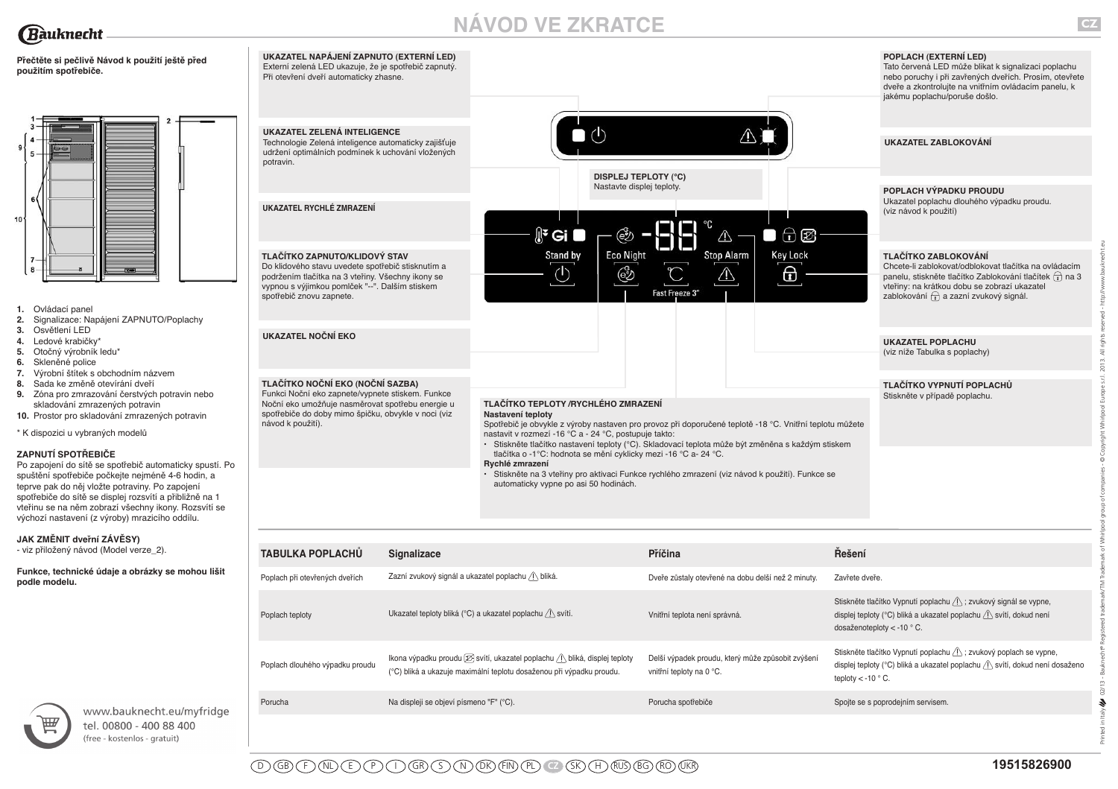# **NÁVOD VE ZKRATCE**



| - viz přiložený návod (Model verze_2). |  |
|----------------------------------------|--|
|----------------------------------------|--|

**Funkce, technické údaje a obrázky se mohou lišit podle modelu.** 





www.bauknecht.eu/myfridge tel. 00800 - 400 88 400 (free - kostenlos - gratuit)

Printed in Italy 02/13 - Bauknecht® Registered trademark/TM Trademark of Whirlpool group of companies - © Copyright Whirlpool Europe s.r.l. 2013. All rights reserved - http://www.bauknecht.eu

 $\boldsymbol{\epsilon}$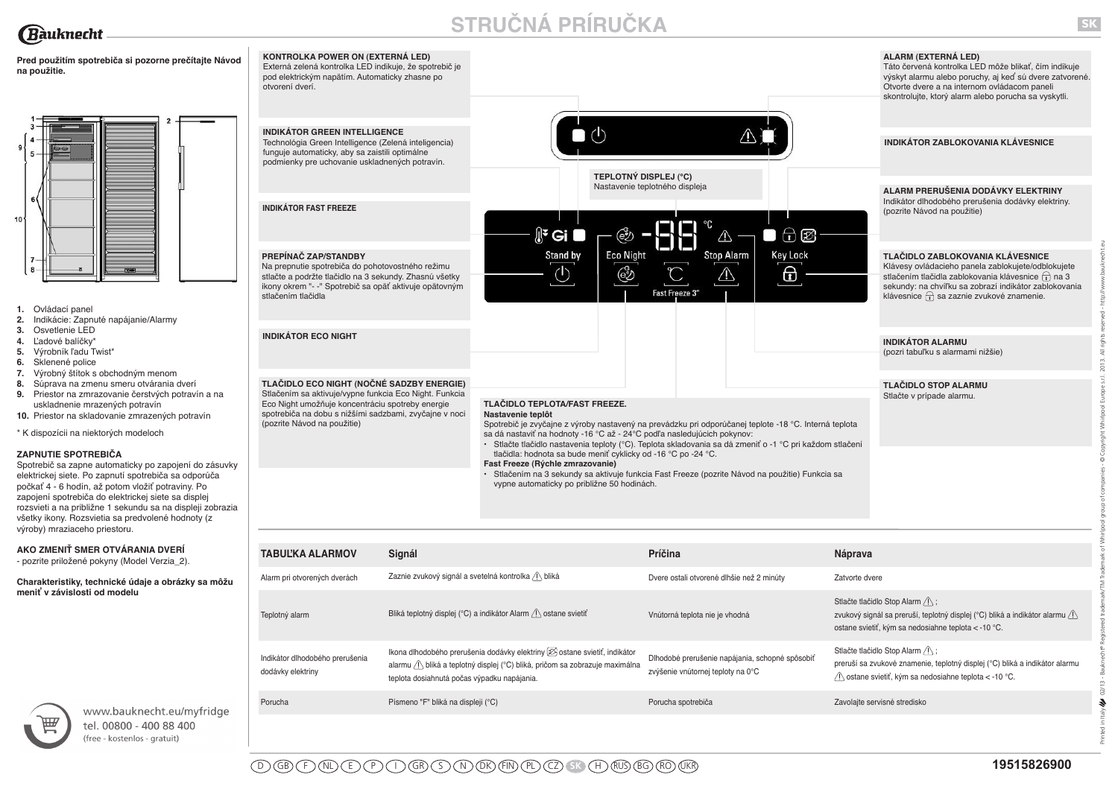# **STRUČNÁ PRÍRUČKA**

Pred použitím spotrebiča si pozorne prečítajte Návo **na použitie.**



- **1.** Ovládací panel
- **2.** Indikácie: Zapnuté napájanie/Alarmy
- **3.** Osvetlenie LED
- **4.** Ľadové balíčky\*
- **5.** Výrobník ľadu Twist\*
- **6.** Sklenené police
- **7.** Výrobný štítok s obchodným menom
- **8.** Súprava na zmenu smeru otvárania dverí
- **9.** Priestor na zmrazovanie čerstvých potravín a na uskladnenie mrazených potravín
- **10.** Priestor na skladovanie zmrazených potravín

\* K dispozícii na niektorých modeloch

### **ZAPNUTIE SPOTREBIČA**

Spotrebič sa zapne automaticky po zapojení do zásuvky elektrickej siete. Po zapnutí spotrebiča sa odporúča počkať 4 - 6 hodín, až potom vložiť potraviny. Po zapojení spotrebiča do elektrickej siete sa displej rozsvieti a na približne 1 sekundu sa na displeji zobrazia všetky ikony. Rozsvietia sa predvolené hodnoty (z výroby) mraziaceho priestoru.

### **AKO ZMENIŤ SMER OTVÁRANIA DVERÍ**

- pozrite priložené pokyny (Model Verzia\_2).

**Charakteristiky, technické údaje a obrázky sa môžu meniť v závislosti od modelu**

| $\overline{\mathbb{H} \mathbb{F}}$ |
|------------------------------------|
|                                    |

www.bauknecht.eu/myfridge tel. 00800 - 400 88 400 (free - kostenlos - gratuit)

| od | KONTROLKA POWER ON (EXTERNÁ LED)<br>Externá zelená kontrolka LED indikuje, že spotrebič je<br>pod elektrickým napätím. Automaticky zhasne po<br>otvorení dverí.                                                                                  |                                                                                                                                                                                                                                                                                                                                                                                                                            | ALARM (EXTERNÁ LED)<br>Táto červená kontrolka LED môže blikať, čím indikuje<br>výskyt alarmu alebo poruchy, aj keď sú dvere zatvorené.<br>Otvorte dvere a na internom ovládacom paneli<br>skontrolujte, ktorý alarm alebo porucha sa vyskytli.                |
|----|--------------------------------------------------------------------------------------------------------------------------------------------------------------------------------------------------------------------------------------------------|----------------------------------------------------------------------------------------------------------------------------------------------------------------------------------------------------------------------------------------------------------------------------------------------------------------------------------------------------------------------------------------------------------------------------|---------------------------------------------------------------------------------------------------------------------------------------------------------------------------------------------------------------------------------------------------------------|
|    | <b>INDIKÁTOR GREEN INTELLIGENCE</b><br>Technológia Green Intelligence (Zelená inteligencia)<br>funguje automaticky, aby sa zaistili optimálne<br>podmienky pre uchovanie uskladnených potravín.                                                  |                                                                                                                                                                                                                                                                                                                                                                                                                            | INDIKÁTOR ZABLOKOVANIA KLÁVESNICE                                                                                                                                                                                                                             |
|    | <b>INDIKÁTOR FAST FREEZE</b>                                                                                                                                                                                                                     | <b>TEPLOTNÝ DISPLEJ (°C)</b><br>Nastavenie teplotného displeja<br>∬ <sup>ะ</sup> Gi<br>$\oplus$ $\boxtimes$                                                                                                                                                                                                                                                                                                                | ALARM PRERUŠENIA DODÁVKY ELEKTRINY<br>Indikátor dlhodobého prerušenia dodávky elektriny.<br>(pozrite Návod na použitie)                                                                                                                                       |
|    | PREPÍNAČ ZAP/STANDBY<br>Na prepnutie spotrebiča do pohotovostného režimu<br>stlačte a podržte tlačidlo na 3 sekundy. Zhasnú všetky<br>ikony okrem "- -" Spotrebič sa opäť aktivuje opätovným<br>stlačením tlačidla                               | Stand by<br><b>Key Lock</b><br><b>Eco Night</b><br><b>Stop Alarm</b><br>⊕<br>Fast Freeze 3"                                                                                                                                                                                                                                                                                                                                | TLAČIDLO ZABLOKOVANIA KLÁVESNICE<br>Klávesy ovládacieho panela zablokujete/odblokujete<br>stlačením tlačidla zablokovania klávesnice $\cap$ na 3<br>sekundy: na chvíľku sa zobrazí indikátor zablokovania<br>klávesnice $\bigcap$ sa zaznie zvukové znamenie. |
|    | <b>INDIKÁTOR ECO NIGHT</b>                                                                                                                                                                                                                       |                                                                                                                                                                                                                                                                                                                                                                                                                            | <b>INDIKÁTOR ALARMU</b><br>(pozri tabuľku s alarmami nižšie)                                                                                                                                                                                                  |
|    | TLAČIDLO ECO NIGHT (NOČNÉ SADZBY ENERGIE)<br>Stlačením sa aktivuje/vypne funkcia Eco Night. Funkcia<br>Eco Night umožňuje koncentráciu spotreby energie<br>spotrebiča na dobu s nižšími sadzbami, zvyčajne v noci<br>(pozrite Návod na použitie) | <b>TLAČIDLO TEPLOTA/FAST FREEZE.</b><br>Nastavenie teplôt<br>Spotrebič je zvyčajne z výroby nastavený na prevádzku pri odporúčanej teplote -18 °C. Interná teplota<br>sa dá nastaviť na hodnoty -16 °C až - 24°C podľa nasledujúcich pokynov:<br>· Stlačte tlačidlo nastavenia teploty (°C). Teplota skladovania sa dá zmeniť o -1 °C pri každom stlačení<br>tlačidla: hodnota sa bude meniť cyklicky od -16 °C po -24 °C. | <b>TLAČIDLO STOP ALARMU</b><br>Stlačte v prípade alarmu.                                                                                                                                                                                                      |
|    |                                                                                                                                                                                                                                                  | Fast Freeze (Rýchle zmrazovanie)<br>Stlačením na 3 sekundy sa aktivuje funkcia Fast Freeze (pozrite Návod na použitie) Funkcia sa<br>vypne automaticky po približne 50 hodinách.                                                                                                                                                                                                                                           |                                                                                                                                                                                                                                                               |

| <b>TABULKA ALARMOV</b>                               | Signál                                                                                                                                                                                                           | Príčina                                                                              | <b>Náprava</b>                                                                                                                                                                             |
|------------------------------------------------------|------------------------------------------------------------------------------------------------------------------------------------------------------------------------------------------------------------------|--------------------------------------------------------------------------------------|--------------------------------------------------------------------------------------------------------------------------------------------------------------------------------------------|
| Alarm pri otvorených dverách                         | Zaznie zvukový signál a svetelná kontrolka /\ bliká                                                                                                                                                              | Dvere ostali otvorené dlhšie než 2 minúty                                            | Zatvorte dvere                                                                                                                                                                             |
| Teplotný alarm                                       | Bliká teplotný displej (°C) a indikátor Alarm / ostane svietiť                                                                                                                                                   | Vnútorná teplota nie je vhodná                                                       | Stlačte tlačidlo Stop Alarm / \.<br>zvukový signál sa preruší, teplotný displej (°C) bliká a indikátor alarmu $\bigwedge$<br>ostane svietiť, kým sa nedosiahne teplota < -10 °C.           |
| Indikátor dlhodobého prerušenia<br>dodávky elektriny | Ikona dlhodobého prerušenia dodávky elektriny $[\mathcal{D}_1 ostane svietiť, indikátoralarmu (I) bliká a teplotný displej (°C) bliká, pričom sa zobrazuje maximálnateplota dosiahnutá počas výpadku napájania.$ | Dlhodobé prerušenie napájania, schopné spôsobiť<br>zvýšenie vnútornej teploty na 0°C | Stlačte tlačidlo Stop Alarm $\bigwedge$ ;<br>preruší sa zvukové znamenie, teplotný displej (°C) bliká a indikátor alarmu<br>$\sqrt{1}$ ostane svietiť, kým sa nedosiahne teplota < -10 °C. |
| Porucha                                              | Písmeno "F" bliká na displeji (°C)                                                                                                                                                                               | Porucha spotrebiča                                                                   | Zavolajte servisné stredisko                                                                                                                                                               |

Printed in Italy 02/13 - Bauknecht® Registered trademark/TM Trademark of Whirlpool group of companies - © Copyright Whirlpool Europe s.r.l. 2013. All rights reserved - http://www.bauknecht.eu

 $02/13 \tilde{\mathcal{F}}$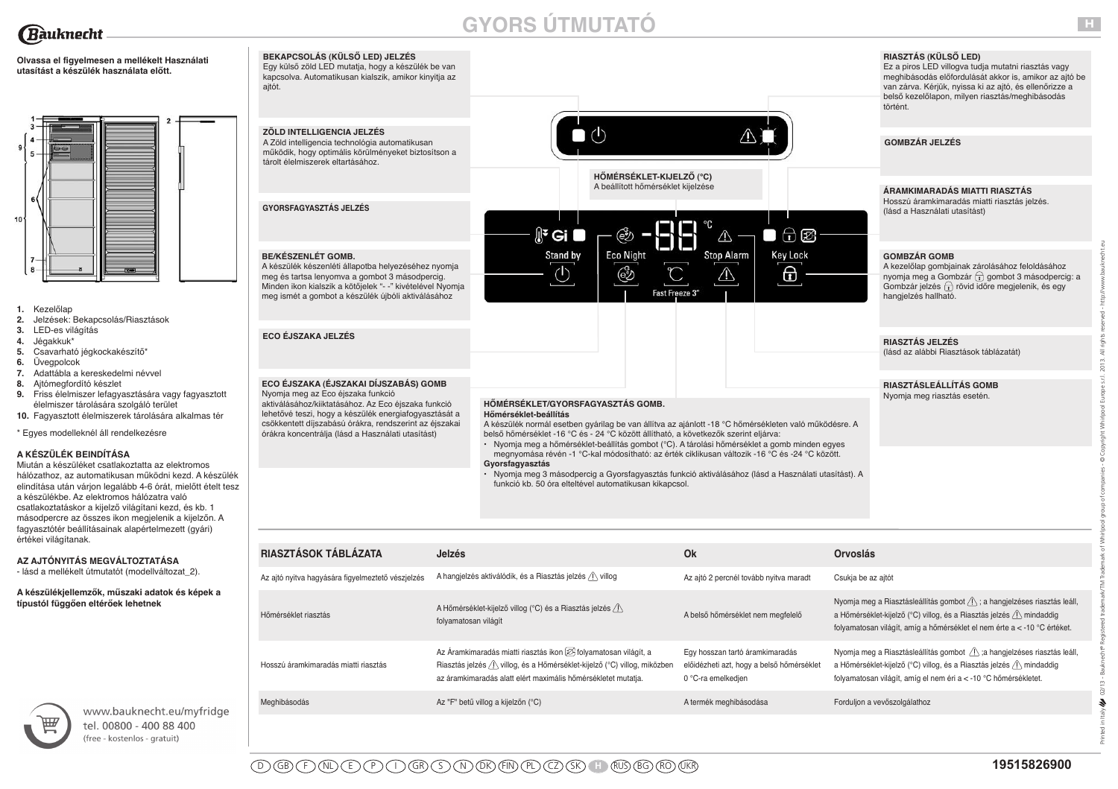

# **GYORS ÚTMUTATÓ**

**Olvassa el figyelmesen a mellékelt Használati utasítást a készülék használata előtt.**



- **1.** Kezelőlap
- **2.** Jelzések: Bekapcsolás/Riasztások
- **3.** LED-es világítás
- **4.** Jégakkuk\*
- **5.** Csavarható jégkockakészítő\*
- **6.** Üvegpolcok
- **7.** Adattábla a kereskedelmi névvel
- **8.** Ajtómegfordító készlet
- 9. Friss élelmiszer lefagyasztására vagy fagyasz élelmiszer tárolására szolgáló terület
- 10. Fagyasztott élelmiszerek tárolására alkalmas

### \* Egyes modelleknél áll rendelkezésre

### **A KÉSZÜLÉK BEINDÍTÁSA**

Miután a készüléket csatlakoztatta az elektromos hálózathoz, az automatikusan működni kezd. A ké elindítása után várjon legalább 4-6 órát, mielőtt ét a készülékbe. Az elektromos hálózatra való csatlakoztatáskor a kijelző világítani kezd, és kb. 1 másodpercre az összes ikon megjelenik a kijelzőr fagyasztótér beállításainak alapértelmezett (gyári) értékei világítanak.

# **AZ AJTÓNYITÁS MEGVÁLTOZTATÁSA**

- lásd a mellékelt útmutatót (modellváltozat\_2).

**A készülékjellemzők, műszaki adatok és képek a típustól függően eltérőek lehetnek**



www.bauknecht.eu/myfridge tel. 00800 - 400 88 400 (free - kostenlos - gratuit)

| BEKAPCSOLÁS (KÜLSŐ LED) JELZÉS                                                                                                                                                                                                                                   |                                                                                                                                                                                                                                                                                                                                                           |                                                                                                                                                                                                                                                             |
|------------------------------------------------------------------------------------------------------------------------------------------------------------------------------------------------------------------------------------------------------------------|-----------------------------------------------------------------------------------------------------------------------------------------------------------------------------------------------------------------------------------------------------------------------------------------------------------------------------------------------------------|-------------------------------------------------------------------------------------------------------------------------------------------------------------------------------------------------------------------------------------------------------------|
| Egy külső zöld LED mutatja, hogy a készülék be van<br>kapcsolva. Automatikusan kialszik, amikor kinyitja az<br>ajtót.                                                                                                                                            |                                                                                                                                                                                                                                                                                                                                                           | RIASZTÁS (KÜLSŐ LED)<br>Ez a piros LED villogva tudja mutatni riasztás vagy<br>meghibásodás előfordulását akkor is, amikor az ajto<br>van zárva. Kérjük, nyissa ki az ajtó, és ellenőrizze a<br>belső kezelőlapon, milyen riasztás/meghibásodás<br>történt. |
| ZÖLD INTELLIGENCIA JELZÉS<br>A Zöld intelligencia technológia automatikusan<br>működik, hogy optimális körülményeket biztosítson a<br>tárolt élelmiszerek eltartásához.                                                                                          |                                                                                                                                                                                                                                                                                                                                                           | <b>GOMBZÁR JELZÉS</b>                                                                                                                                                                                                                                       |
|                                                                                                                                                                                                                                                                  | HŐMÉRSÉKLET-KIJELZŐ (°C)<br>A beállított hőmérséklet kijelzése                                                                                                                                                                                                                                                                                            | ÁRAMKIMARADÁS MIATTI RIASZTÁS<br>Hosszú áramkimaradás miatti riasztás jelzés.                                                                                                                                                                               |
| <b>GYORSFAGYASZTÁS JELZÉS</b>                                                                                                                                                                                                                                    | $\mathbb{R}^2$ Gi $\blacksquare$<br>$\bigoplus$ $\bigotimes$<br>⚠<br>k.                                                                                                                                                                                                                                                                                   | (lásd a Használati utasítást)                                                                                                                                                                                                                               |
| <b>BE/KÉSZENLÉT GOMB.</b><br>A készülék készenléti állapotba helyezéséhez nyomja<br>meg és tartsa lenyomva a gombot 3 másodpercig.<br>Minden ikon kialszik a kötőjelek "- -" kivételével Nyomja<br>meg ismét a gombot a készülék újbóli aktiválásához            | Stand by<br><b>Eco Night</b><br><b>Stop Alarm</b><br><b>Key Lock</b><br>$\Theta$<br>$\circlearrowleft$<br>ම්<br>Fast Freeze 3"                                                                                                                                                                                                                            | <b>GOMBZÁR GOMB</b><br>A kezelőlap gombjainak zárolásához feloldásához<br>nyomja meg a Gombzár + gombot 3 másodpercig<br>Gombzár jelzés $\bigcap$ rövid időre megjelenik, és egy<br>hangielzés hallható.                                                    |
| <b>ECO ÉJSZAKA JELZÉS</b>                                                                                                                                                                                                                                        |                                                                                                                                                                                                                                                                                                                                                           | <b>RIASZTÁS JELZÉS</b><br>(lásd az alábbi Riasztások táblázatát)                                                                                                                                                                                            |
| ECO ÉJSZAKA (ÉJSZAKAI DÍJSZABÁS) GOMB                                                                                                                                                                                                                            |                                                                                                                                                                                                                                                                                                                                                           | <b>RIASZTÁSLEÁLLÍTÁS GOMB</b>                                                                                                                                                                                                                               |
| Nyomja meg az Eco éjszaka funkció<br>aktiválásához/kiiktatásához. Az Eco éjszaka funkció<br>lehetővé teszi, hogy a készülék energiafogyasztását a<br>csökkentett díjszabású órákra, rendszerint az éjszakai<br>órákra koncentrálja (lásd a Használati utasítást) | HÖMÉRSÉKLET/GYORSFAGYASZTÁS GOMB.<br>Hőmérséklet-beállítás<br>A készülék normál esetben gyárilag be van állítva az ajánlott -18 °C hőmérsékleten való működésre. A<br>belső hőmérséklet -16 °C és - 24 °C között állítható, a következők szerint eljárva:<br>· Nyomja meg a hőmérséklet-beállítás gombot (°C). A tárolási hőmérséklet a gomb minden egyes | Nyomja meg riasztás esetén.                                                                                                                                                                                                                                 |
|                                                                                                                                                                                                                                                                  | megnyomása révén -1 °C-kal módosítható: az érték ciklikusan változik -16 °C és -24 °C között.<br>Gyorsfagyasztás<br>· Nyomja meg 3 másodpercig a Gyorsfagyasztás funkció aktiválásához (lásd a Használati utasítást). A                                                                                                                                   |                                                                                                                                                                                                                                                             |

| RIASZTÁSOK TÁBLÁZATA                              | <b>Jelzés</b>                                                                                                                                                                                                               | Ok                                                                                                 | <b>Orvoslás</b>                                                                                                                                                                                                                       |
|---------------------------------------------------|-----------------------------------------------------------------------------------------------------------------------------------------------------------------------------------------------------------------------------|----------------------------------------------------------------------------------------------------|---------------------------------------------------------------------------------------------------------------------------------------------------------------------------------------------------------------------------------------|
| Az ajtó nyitva hagyására figyelmeztető vészjelzés | A hangielzés aktiválódik, és a Riasztás jelzés / villog                                                                                                                                                                     | Az ajtó 2 percnél tovább nyitva maradt                                                             | Csukja be az ajtót                                                                                                                                                                                                                    |
| Hőmérséklet riasztás                              | A Hőmérséklet-kijelző villog (°C) és a Riasztás jelzés /\<br>folyamatosan világít                                                                                                                                           | A belső hőmérséklet nem megfelelő                                                                  | Nyomja meg a Riasztásleállítás gombot $\triangle$ ; a hangjelzéses riasztás leáll,<br>a Hőmérséklet-kijelző (°C) villog, és a Riasztás jelzés / mindaddig<br>folyamatosan világít, amíg a hőmérséklet el nem érte a < -10 °C értéket. |
| Hosszú áramkimaradás miatti riasztás              | Az Áramkimaradás miatti riasztás ikon $[2]$ folyamatosan világít, a<br>Riasztás jelzés <sup>/</sup> villog, és a Hőmérséklet-kijelző (°C) villog, miközben<br>az áramkimaradás alatt elért maximális hőmérsékletet mutatja. | Egy hosszan tartó áramkimaradás<br>előidézheti azt, hogy a belső hőmérséklet<br>0 °C-ra emelkedjen | Nyomja meg a Riasztásleállítás gombot / a hangjelzéses riasztás leáll,<br>a Hőmérséklet-kijelző (°C) villog, és a Riasztás jelzés <sup>1</sup> \ mindaddig<br>folyamatosan világít, amíg el nem éri a < -10 °C hőmérsékletet.         |
| Meghibásodás                                      | Az "F" betű villog a kijelzőn (°C)                                                                                                                                                                                          | A termék meghibásodása                                                                             | Forduljon a vevőszolgálathoz                                                                                                                                                                                                          |

meghibásodás előfordulását akkor is, amikor az ajtó be

Printed in Italy 02/13 - Bauknecht® Registered trademark/TM Trademark of Whirlpool group of companies - © Copyright Whirlpool Europe s.r.l. 2013. All rights reserved - http://www.bauknecht.eu

 $\mathbb{A}^{\Theta}$ Bauk  $02/13 -$ 4

Italy

İ

 $\overline{\overline{z}}$ 2013.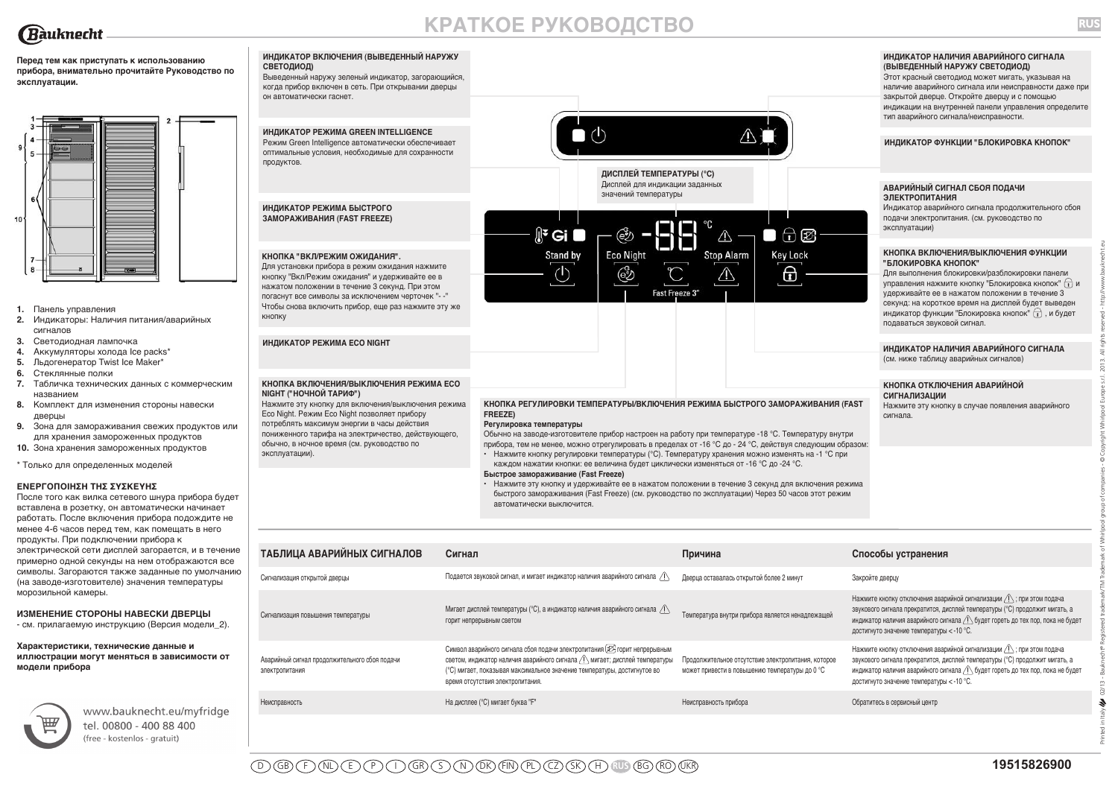

# **КРАТКОЕ РУКОВОДСТВО**

**ИНДИКАТОР НАЛИЧИЯ АВАРИЙНОГО СИГНАЛА**

**RUS**

Printed in Italy 02/13 - Bauknecht® Registered trademark/TM Trademark of Whirlpool group of companies - © Copyright Whirlpool Europe s.r.l. 2013. All rights reserved - http://www.bauknecht.eu

4

**Перед тем как приступать к использованию прибора, внимательно прочитайте Руководство по эксплуатации.**



- **1.** Панель управления
- **2.** Индикаторы: Наличия питания/аварийных сигналов
- **3.** Светодиодная лампочка
- **4.** Аккумуляторы холода Ice packs\*
- **5.** Льдогенератор Twist Ice Maker\*
- **6.** Стеклянные полки
- **7.** Табличка технических данных с коммерческим названием
- **8.** Комплект для изменения стороны навески дверцы
- **9.** Зона для замораживания свежих продуктов или для хранения замороженных продуктов
- **10.** Зона хранения замороженных продуктов
- \* Только для определенных моделей

#### **ΕΝΕΡΓΟΠΟΙΗΣΗ ΤΗΣ ΣΥΣΚΕΥΗΣ**

После того как вилка сетевого шнура прибора будет вставлена в розетку, он автоматически начинает работать. После включения прибора подождите не менее 4-6 часов перед тем, как помещать в него продукты. При подключении прибора к электрической сети дисплей загорается, и в течение примерно одной секунды на нем отображаются все символы. Загораются также заданные по умолчанию (на заводе-изготовителе) значения температуры морозильной камеры.

### **ИЗМЕНЕНИЕ СТОРОНЫ НАВЕСКИ ДВЕРЦЫ**

- см. прилагаемую инструкцию (Версия модели\_2).

### **Характеристики, технические данные и иллюстрации могут меняться в зависимости от**





www.bauknecht.eu/myfridge tel. 00800 - 400 88 400 (free - kostenlos - gratuit)

#### **ИНДИКАТОР ВКЛЮЧЕНИЯ (ВЫВЕДЕННЫЙ НАРУЖУ СВЕТОДИОД)**

Выведенный наружу зеленый индикатор, загорающийся, когда прибор включен в сеть. При открывании дверцы он автоматически гаснет.



#### **Быстрое замораживание (Fast Freeze)**

**ТАБЛИЦА АВАРИЙНЫХ СИГНАЛОВ Сигнал Причина Способы устранения**

Неисправность по при приготов На дисплее (°C) мигает буква "F" Неисправность прибора Обратитесь в сервисный центр

Сигнализация открытой дверцы Подается звуковой сигнал, и мигает индикатор наличия аварийного сигнала Дверца оставалась открытой более 2 минут Закройте дверцу

Символ аварийного сигнала сбоя подачи электропитания  $\varnothing$  горит непрерывным светом, индикатор наличия аварийного сигнала  $\bigwedge$  мигает; дисплей температуры (°C) мигает, показывая максимальное значение температуры, достигнутое во

**•** Нажмите эту кнопку и удерживайте ее в нажатом положении в течение 3 секунд для включения режима быстрого замораживания (Fast Freeze) (см. руководство по эксплуатации) Через 50 часов этот режим автоматически выключится.

Температура внутри прибора является ненадлежащей

Продолжительное отсутствие электропитания, которое может привести в повышению температуры до 0 °C

| Этот красный светодиод может мигать, указывая на      |
|-------------------------------------------------------|
| наличие аварийного сигнала или неисправности даже при |
| закрытой дверце. Откройте дверцу и с помощью          |
| индикации на внутренней панели управления определите  |

тип аварийного сигнала/неисправности.

**(ВЫВЕДЕННЫЙ НАРУЖУ СВЕТОДИОД)**

**ИНДИКАТОР ФУНКЦИИ "БЛОКИРОВКА КНОПОК"**

### **АВАРИЙНЫЙ СИГНАЛ СБОЯ ПОДАЧИ ЭЛЕКТРОПИТАНИЯ**

Индикатор аварийного сигнала продолжительного сбоя подачи электропитания. (см. руководство по эксплуатации)

#### **КНОПКА ВКЛЮЧЕНИЯ/ВЫКЛЮЧЕНИЯ ФУНКЦИИ "БЛОКИРОВКА КНОПОК"**

Для выполнения блокировки/разблокировки панели управления нажмите кнопку "Блокировка кнопок"  $\cap$  и удерживайте ее в нажатом положении в течение 3 секунд: на короткое время на дисплей будет выведен индикатор функции "Блокировка кнопок"  $\bigcap$ , и будет подаваться звуковой сигнал.

#### **ИНДИКАТОР НАЛИЧИЯ АВАРИЙНОГО СИГНАЛА** (см. ниже таблицу аварийных сигналов)

#### **КНОПКА ОТКЛЮЧЕНИЯ АВАРИЙНОЙ СИГНАЛИЗАЦИИ**

Нажмите кнопку отключения аварийной сигнализации  $\bigwedge$ ; при этом подача звукового сигнала прекратится, дисплей температуры (°C) продолжит мигать, а индикатор наличия аварийного сигнала  $\bigcap$  будет гореть до тех пор, пока не будет

Нажмите кнопку отключения аварийной сигнализации  $\langle \cdot \rangle$ ; при этом подача звукового сигнала прекратится, дисплей температуры (°C) продолжит мигать, а индикатор наличия аварийного сигнала  $\bigwedge$  будет гореть до тех пор, пока не будет

достигнуто значение температуры < -10 °C.

достигнуто значение температуры < -10 °C.

Нажмите эту кнопку в случае появления аварийного сигнала.

время отсутствия электропитания.

Сигнализация повышения температуры Мигает дисплей температуры (°C), а индикатор наличия аварийного сигнала

Аварийный сигнал продолжительного сбоя подачи

электропитания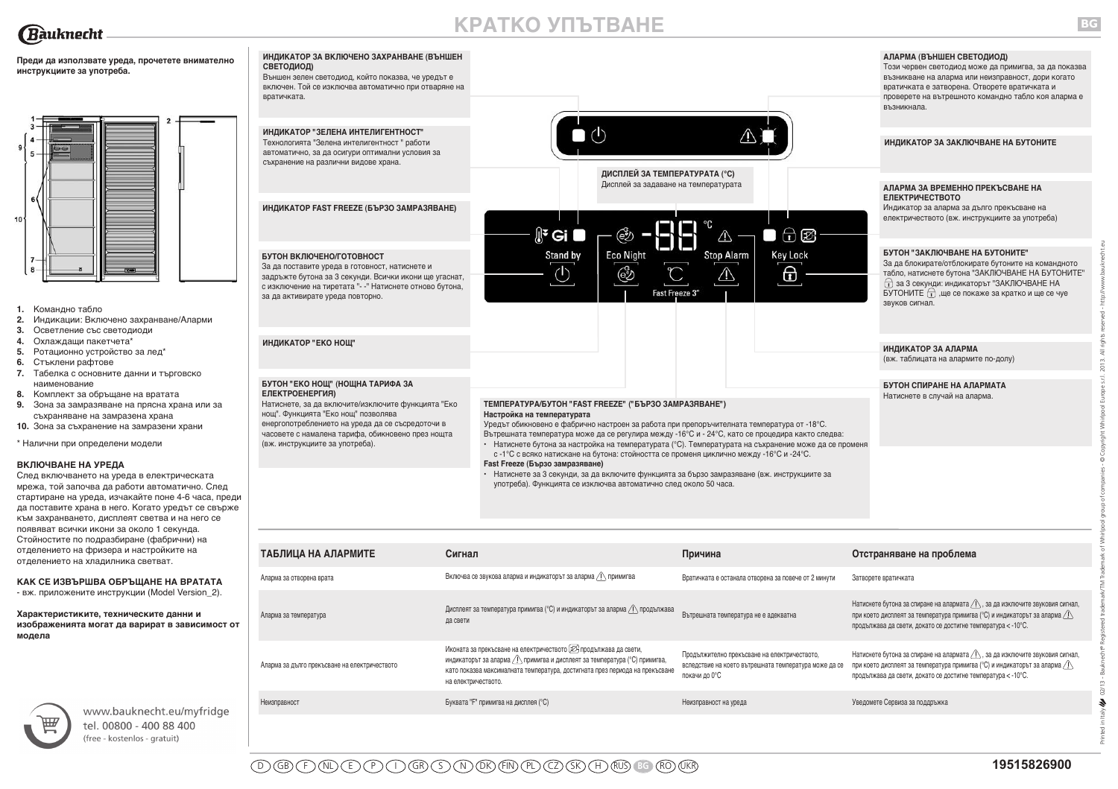

# **КРАТКО УПЪТВАНЕ**

**Преди да използвате уреда, прочетете внимателно инструкциите за употреба.**



- **1.** Командно табло
- **2.** Индикации: Включено захранване/Аларми
- **3.** Осветление със светодиоди
- **4.** Охлаждащи пакетчета\*
- **5.** Ротационно устройство за лед\*
- **6.** Стъклени рафтове
- **7.** Табелка с основните данни и търговско наименование
- **8.** Комплект за обръщане на вратата
- **9.** Зона за замразяване на прясна храна или за съхраняване на замразена храна
- **10.** Зона за съхранение на замразени храни

\* Налични при определени модели

#### **ВКЛЮЧВАНЕ НА УРЕДА**

След включването на уреда в електрическата мрежа, той започва да работи автоматично. След стартиране на уреда, изчакайте поне 4-6 часа, преди да поставите храна в него. Когато уредът се свърже към захранването, дисплеят светва и на него се появяват всички икони за около 1 секунда. Стойностите по подразбиране (фабрични) на отделението на фризера и настройките на отделението на хладилника светват.

# **КАК СЕ ИЗВЪРШВА ОБРЪЩАНЕ НА ВРАТАТА**

- вж. приложените инструкции (Model Version\_2).

#### **Характеристиките, техническите данни и изображенията могат да варират в зависимост от модела**



www.bauknecht.eu/myfridge tel. 00800 - 400 88 400 (free - kostenlos - gratuit)



| ТАБЛИЦА НА АЛАРМИТЕ                           | Сигнал                                                                                                                                                                                                                                                   | Причина                                                                                                                | Отстраняване на проблема                                                                                                                                                                                                                                              |
|-----------------------------------------------|----------------------------------------------------------------------------------------------------------------------------------------------------------------------------------------------------------------------------------------------------------|------------------------------------------------------------------------------------------------------------------------|-----------------------------------------------------------------------------------------------------------------------------------------------------------------------------------------------------------------------------------------------------------------------|
| Аларма за отворена врата                      | Включва се звукова аларма и индикаторът за аларма $\sqrt{N}$ примигва                                                                                                                                                                                    | Вратичката е останала отворена за повече от 2 минути                                                                   | Затворете вратичката                                                                                                                                                                                                                                                  |
| Аларма за температура                         | Дисплеят за температура примигва (°С) и индикаторът за аларма <u>/!</u> продължава<br>да свети                                                                                                                                                           | Вътрешната температура не е адекватна                                                                                  | Натиснете бутона за спиране на алармата $\langle \cdot \rangle$ , за да изключите звуковия сигнал,<br>при което дисплеят за температура примигва (°С) и индикаторът за аларма $\langle \cdot \rangle$<br>продължава да свети, докато се достигне температура < -10°С. |
| Аларма за дълго прекъсване на електричеството | Иконата за прекъсване на електричеството [223 продължава да свети,<br>индикаторът за аларма / ! примигва и дисплеят за температура (°С) примигва,<br>като показва максималната температура, достигната през периода на прекъсване<br>на електричеството. | Продължително прекъсване на електричеството,<br>вследствие на което вътрешната температура може да се<br>покачи до 0°С | Натиснете бутона за спиране на алармата $\langle \cdot \rangle$ , за да изключите звуковия сигнал,<br>при което дисплеят за температура примигва (°С) и индикаторът за аларма $\langle \cdot \rangle$<br>продължава да свети, докато се достигне температура < -10°С. |
| Неизправност                                  | Буквата "F" примигва на дисплея (°С)                                                                                                                                                                                                                     | Неизправност на уреда                                                                                                  | Уведомете Сервиза за поддръжка                                                                                                                                                                                                                                        |
|                                               |                                                                                                                                                                                                                                                          |                                                                                                                        |                                                                                                                                                                                                                                                                       |

Printed in Italy 02/13 - Bauknecht® Registered trademark/TM Trademark of Whirlpool group of companies - © Copyright Whirlpool Europe s.r.l. 2013. All rights reserved - http://www.bauknecht.eu

 $02/13 \boldsymbol{\tilde{z}}$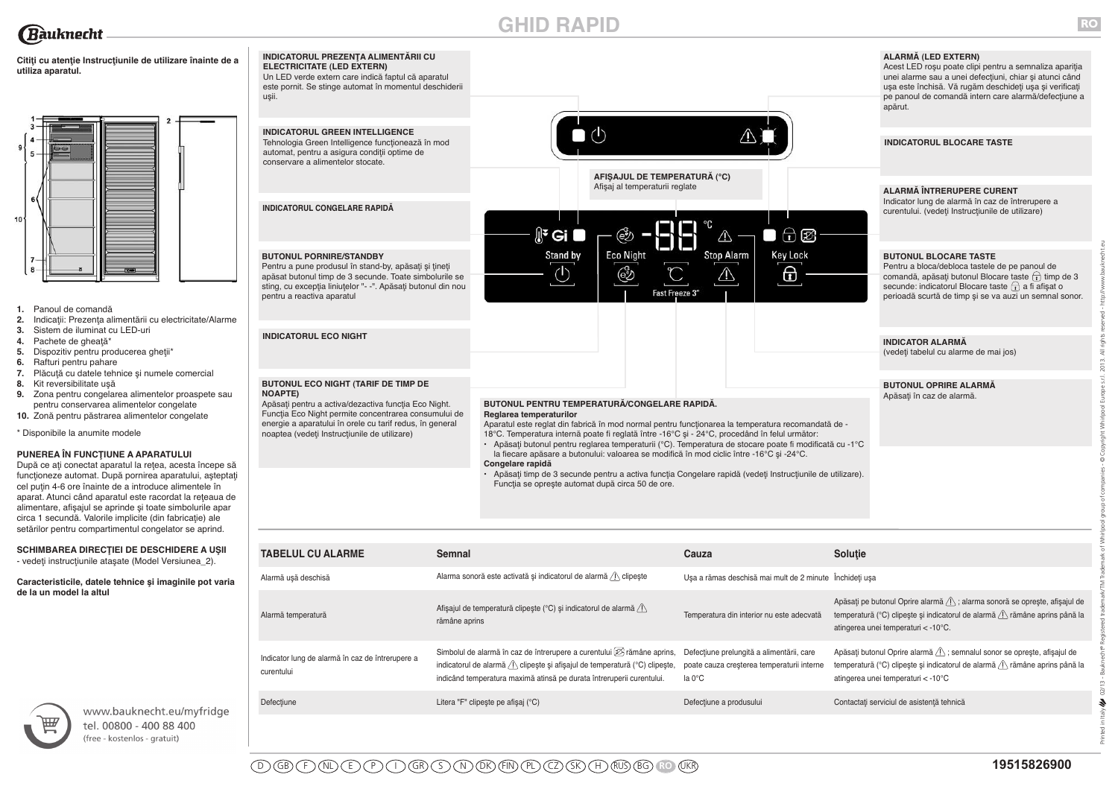# **GHID RAPID**

 $\mathbb{R}^2$  Gi

Stand by

 $\circlearrowleft$ 

 $\bigcap$  (b)



**RO**

Printed in Italy 02/13 - Bauknecht® Registered trademark/TM Trademark of Whirlpool group of companies - © Copyright Whirlpool Europe s.r.l. 2013. All rights reserved - http://www.bauknecht.eu

 $02/13 -$ 4

Italy

**ALARMĂ (LED EXTERN)** Acest LED roşu poate clipi pentru a semnaliza apariţia unei alarme sau a unei defecţiuni, chiar şi atunci când usa este închisă. Vă rugăm deschideți usa și verificați pe panoul de comandă intern care alarmă/defecţiune a apărut.

**INDICATORUL BLOCARE TASTE**

**ALARMĂ ÎNTRERUPERE CURENT**

Indicator lung de alarmă în caz de întrerupere a curentului. (vedeți Instrucțiunile de utilizare)



Pentru a bloca/debloca tastele de pe panoul de comandă, apăsați butonul Blocare taste  $\widehat{t_1}$  timp de 3 secunde: indicatorul Blocare taste  $\bigcap$  a fi afișat o perioadă scurtă de timp şi se va auzi un semnal sonor.

# **INDICATOR ALARMĂ**

(vedeţi tabelul cu alarme de mai jos)

#### **BUTONUL OPRIRE ALARMĂ** Apăsați în caz de alarmă.

**BUTONUL PENTRU TEMPERATURĂ/CONGELARE RAPIDĂ. Reglarea temperaturilor** 

Aparatul este reglat din fabrică în mod normal pentru funcţionarea la temperatura recomandată de - 18°C. Temperatura internă poate fi reglată între -16°C şi - 24°C, procedând în felul următor: **•** Apăsaţi butonul pentru reglarea temperaturii (°C). Temperatura de stocare poate fi modificată cu -1°C

Fast Freeze 3'

**AFIŞAJUL DE TEMPERATURĂ (°C)** Afişaj al temperaturii reglate

෯

**Eco Night** 

 $\bigoplus$ 

**Key Lock** 

⊕

 $\Box$ 

 $\wedge$ 

**Stop Alarm** 

 $\sqrt{1}$ 

la fiecare apăsare a butonului: valoarea se modifică în mod ciclic între -16°C şi -24°C. **Congelare rapidă**

**•** Apăsaţi timp de 3 secunde pentru a activa funcţia Congelare rapidă (vedeţi Instrucţiunile de utilizare). Funcția se oprește automat după circa 50 de ore.

| <b>TABELUL CU ALARME</b>                                       | <b>Semnal</b>                                                                                                                                                                                                                                                   | Cauza                                                                                             | Soluție                                                                                                                                                                                                       |
|----------------------------------------------------------------|-----------------------------------------------------------------------------------------------------------------------------------------------------------------------------------------------------------------------------------------------------------------|---------------------------------------------------------------------------------------------------|---------------------------------------------------------------------------------------------------------------------------------------------------------------------------------------------------------------|
| Alarmă usă deschisă                                            | Alarma sonoră este activată și indicatorul de alarmă / clipește                                                                                                                                                                                                 | Usa a rămas deschisă mai mult de 2 minute Închideți usa                                           |                                                                                                                                                                                                               |
| Alarmă temperatură                                             | Afișajul de temperatură clipește (°C) și indicatorul de alarmă / \<br>rămâne aprins                                                                                                                                                                             | Temperatura din interior nu este adecvată                                                         | Apăsați pe butonul Oprire alarmă <i>(I)</i> ; alarma sonoră se oprește, afișajul de<br>temperatură (°C) clipește și indicatorul de alarmă / \ rămâne aprins până la<br>atingerea unei temperaturi < -10°C.    |
| Indicator lung de alarmă în caz de întrerupere a<br>curentului | Simbolul de alarmă în caz de întrerupere a curentului $[\overline{\mathcal{D}}]$ rămâne aprins,<br>indicatorul de alarmă <i>(I)</i> clipește și afișajul de temperatură (°C) clipește,<br>indicând temperatura maximă atinsă pe durata întreruperii curentului. | Defecțiune prelungită a alimentării, care<br>poate cauza cresterea temperaturii interne<br>la 0°C | Apăsați butonul Oprire alarmă / ; semnalul sonor se oprește, afișajul de<br>temperatură (°C) clipește și indicatorul de alarmă <i>(</i> $\hat{A}$ rămâne aprins până la<br>atingerea unei temperaturi < -10°C |
| Defecțiune                                                     | Litera "F" clipește pe afișaj (°C)                                                                                                                                                                                                                              | Defecțiune a produsului                                                                           | Contactați serviciul de asistență tehnică                                                                                                                                                                     |

# **Citiţi cu atenţie Instrucţiunile de utilizare înainte de a utiliza aparatul.**

**INDICATORUL GREEN INTELLIGENCE** Tehnologia Green Intelligence functionează în mod automat, pentru a asigura condiţii optime de conservare a alimentelor stocate.

**ELECTRICITATE (LED EXTERN)**

uşii.

**INDICATORUL PREZENŢA ALIMENTĂRII CU**

Un LED verde extern care indică faptul că aparatul este pornit. Se stinge automat în momentul deschiderii

**INDICATORUL CONGELARE RAPIDĂ**

**BUTONUL PORNIRE/STANDBY**

pentru a reactiva aparatul

**INDICATORUL ECO NIGHT**

**NOAPTE)**

Pentru a pune produsul în stand-by, apăsaţi şi ţineţi apăsat butonul timp de 3 secunde. Toate simbolurile se sting, cu excepția liniuțelor "- -". Apăsați butonul din nou

**BUTONUL ECO NIGHT (TARIF DE TIMP DE**

noaptea (vedeţi Instrucţiunile de utilizare)

Apăsaţi pentru a activa/dezactiva funcţia Eco Night. Funcţia Eco Night permite concentrarea consumului de energie a aparatului în orele cu tarif redus, în general



- **1.** Panoul de comandă
- **2.** Indicaţii: Prezenţa alimentării cu electricitate/Alarme
- **3.** Sistem de iluminat cu LED-uri
- **4.** Pachete de gheaţă\*
- **5.** Dispozitiv pentru producerea ghetii\*
- **6.** Rafturi pentru pahare
- **7.** Plăcuţă cu datele tehnice şi numele comercial
- **8.** Kit reversibilitate uşă
- **9.** Zona pentru congelarea alimentelor proaspete sau pentru conservarea alimentelor congelate
- **10.** Zonă pentru păstrarea alimentelor congelate
- \* Disponibile la anumite modele

# **PUNEREA ÎN FUNCŢIUNE A APARATULUI**

După ce ați conectat aparatul la rețea, acesta începe să funcţioneze automat. După pornirea aparatului, aşteptaţi cel puţin 4-6 ore înainte de a introduce alimentele în aparat. Atunci când aparatul este racordat la reţeaua de alimentare, afişajul se aprinde şi toate simbolurile apar circa 1 secundă. Valorile implicite (din fabricație) ale setărilor pentru compartimentul congelator se aprind.

**SCHIMBAREA DIRECŢIEI DE DESCHIDERE A UŞII**

- vedeţi instrucţiunile ataşate (Model Versiunea\_2).

**Caracteristicile, datele tehnice şi imaginile pot varia de la un model la altul**



www.bauknecht.eu/myfridge tel. 00800 - 400 88 400 (free - kostenlos - gratuit)